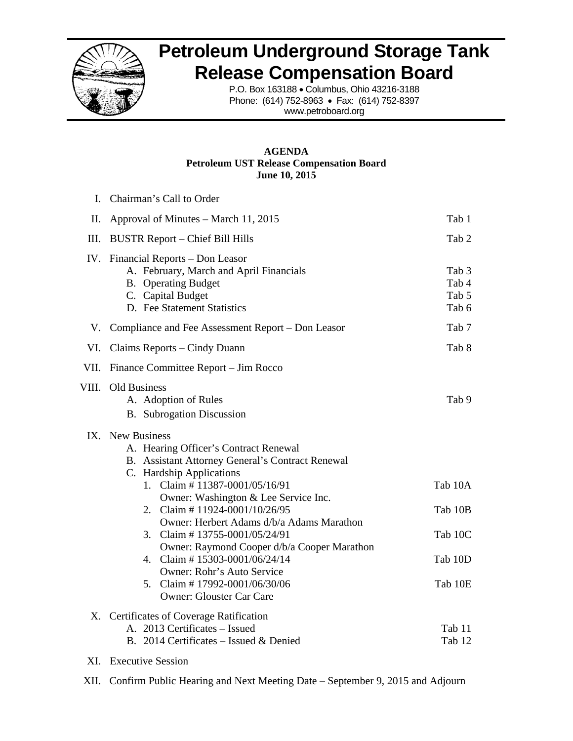

# **Petroleum Underground Storage Tank Release Compensation Board**

P.O. Box 163188 • Columbus, Ohio 43216-3188 Phone: (614) 752-8963 • Fax: (614) 752-8397 www.petroboard.org

## **AGENDA Petroleum UST Release Compensation Board June 10, 2015**

|       | I. Chairman's Call to Order                                                                                                                                                                                                                                                                                                                                                                                                                                                                                          |                                                     |
|-------|----------------------------------------------------------------------------------------------------------------------------------------------------------------------------------------------------------------------------------------------------------------------------------------------------------------------------------------------------------------------------------------------------------------------------------------------------------------------------------------------------------------------|-----------------------------------------------------|
| II.   | Approval of Minutes – March 11, 2015                                                                                                                                                                                                                                                                                                                                                                                                                                                                                 | Tab 1                                               |
| Ш.    | <b>BUSTR Report – Chief Bill Hills</b>                                                                                                                                                                                                                                                                                                                                                                                                                                                                               | Tab 2                                               |
|       | IV. Financial Reports - Don Leasor<br>A. February, March and April Financials<br><b>B.</b> Operating Budget<br>C. Capital Budget<br>D. Fee Statement Statistics                                                                                                                                                                                                                                                                                                                                                      | Tab 3<br>Tab 4<br>Tab 5<br>Tab 6                    |
|       | V. Compliance and Fee Assessment Report – Don Leasor                                                                                                                                                                                                                                                                                                                                                                                                                                                                 | Tab 7                                               |
| VI.   | Claims Reports – Cindy Duann                                                                                                                                                                                                                                                                                                                                                                                                                                                                                         | Tab 8                                               |
| VII.  | Finance Committee Report – Jim Rocco                                                                                                                                                                                                                                                                                                                                                                                                                                                                                 |                                                     |
| VIII. | <b>Old Business</b><br>A. Adoption of Rules<br><b>B.</b> Subrogation Discussion                                                                                                                                                                                                                                                                                                                                                                                                                                      | Tab 9                                               |
|       | IX. New Business<br>A. Hearing Officer's Contract Renewal<br>B. Assistant Attorney General's Contract Renewal<br>C. Hardship Applications<br>1. Claim # 11387-0001/05/16/91<br>Owner: Washington & Lee Service Inc.<br>2. Claim #11924-0001/10/26/95<br>Owner: Herbert Adams d/b/a Adams Marathon<br>3. Claim #13755-0001/05/24/91<br>Owner: Raymond Cooper d/b/a Cooper Marathon<br>4. Claim #15303-0001/06/24/14<br>Owner: Rohr's Auto Service<br>5. Claim #17992-0001/06/30/06<br><b>Owner: Glouster Car Care</b> | Tab 10A<br>Tab 10B<br>Tab 10C<br>Tab 10D<br>Tab 10E |
|       | X. Certificates of Coverage Ratification<br>A. 2013 Certificates - Issued<br>B. 2014 Certificates - Issued & Denied                                                                                                                                                                                                                                                                                                                                                                                                  | Tab 11<br>Tab 12                                    |
|       | XI. Executive Session                                                                                                                                                                                                                                                                                                                                                                                                                                                                                                |                                                     |

XII. Confirm Public Hearing and Next Meeting Date – September 9, 2015 and Adjourn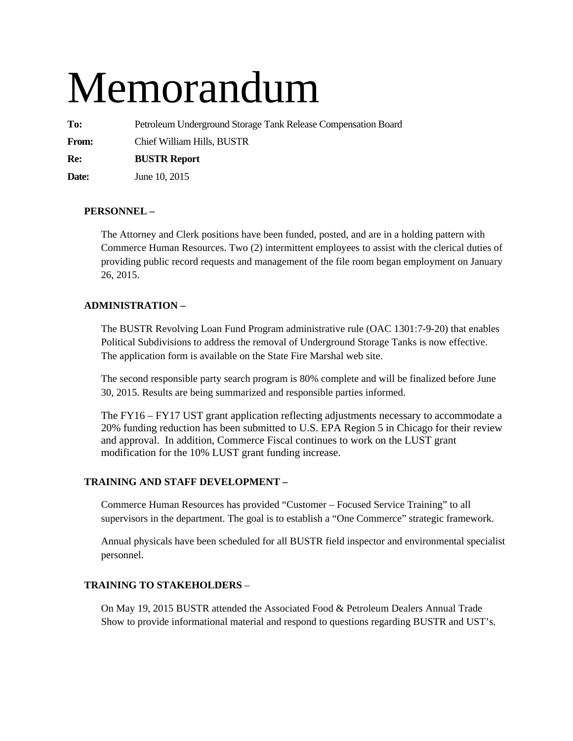# Memorandum

**To:** Petroleum Underground Storage Tank Release Compensation Board

**From:** Chief William Hills, BUSTR

**Re: BUSTR Report** 

**Date:** June 10, 2015

# **PERSONNEL –**

The Attorney and Clerk positions have been funded, posted, and are in a holding pattern with Commerce Human Resources. Two (2) intermittent employees to assist with the clerical duties of providing public record requests and management of the file room began employment on January 26, 2015.

## **ADMINISTRATION –**

The BUSTR Revolving Loan Fund Program administrative rule (OAC 1301:7-9-20) that enables Political Subdivisions to address the removal of Underground Storage Tanks is now effective. The application form is available on the State Fire Marshal web site.

The second responsible party search program is 80% complete and will be finalized before June 30, 2015. Results are being summarized and responsible parties informed.

The FY16 – FY17 UST grant application reflecting adjustments necessary to accommodate a 20% funding reduction has been submitted to U.S. EPA Region 5 in Chicago for their review and approval. In addition, Commerce Fiscal continues to work on the LUST grant modification for the 10% LUST grant funding increase.

## **TRAINING AND STAFF DEVELOPMENT –**

Commerce Human Resources has provided "Customer – Focused Service Training" to all supervisors in the department. The goal is to establish a "One Commerce" strategic framework.

Annual physicals have been scheduled for all BUSTR field inspector and environmental specialist personnel.

## **TRAINING TO STAKEHOLDERS** –

On May 19, 2015 BUSTR attended the Associated Food & Petroleum Dealers Annual Trade Show to provide informational material and respond to questions regarding BUSTR and UST's.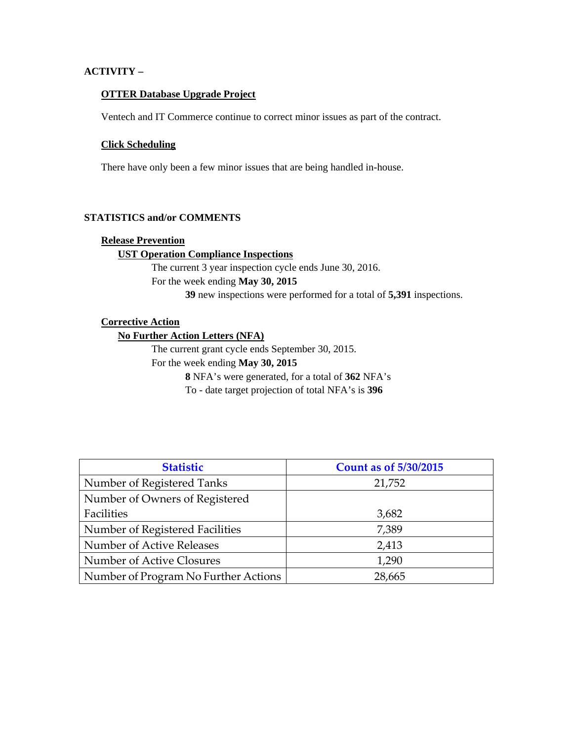## **ACTIVITY –**

## **OTTER Database Upgrade Project**

Ventech and IT Commerce continue to correct minor issues as part of the contract.

## **Click Scheduling**

There have only been a few minor issues that are being handled in-house.

## **STATISTICS and/or COMMENTS**

## **Release Prevention**

## **UST Operation Compliance Inspections**

The current 3 year inspection cycle ends June 30, 2016. For the week ending **May 30, 2015 39** new inspections were performed for a total of **5,391** inspections.

## **Corrective Action**

**No Further Action Letters (NFA)** 

The current grant cycle ends September 30, 2015. For the week ending **May 30, 2015 8** NFA's were generated, for a total of **362** NFA's To - date target projection of total NFA's is **396** 

| <b>Statistic</b>                     | <b>Count as of 5/30/2015</b> |
|--------------------------------------|------------------------------|
| Number of Registered Tanks           | 21,752                       |
| Number of Owners of Registered       |                              |
| Facilities                           | 3,682                        |
| Number of Registered Facilities      | 7,389                        |
| Number of Active Releases            | 2,413                        |
| Number of Active Closures            | 1,290                        |
| Number of Program No Further Actions | 28,665                       |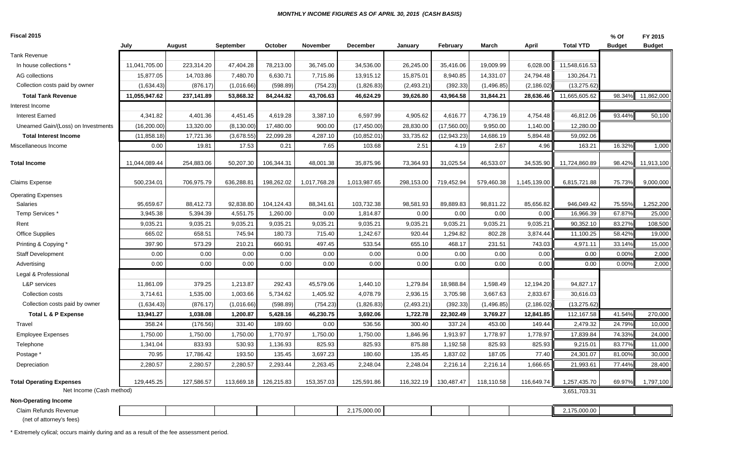#### *MONTHLY INCOME FIGURES AS OF APRIL 30, 2015 (CASH BASIS)*

| Fiscal 2015                                                 |               |            |             |            |                 |                 |            |              |            |              |                  | % Of          | FY 2015       |
|-------------------------------------------------------------|---------------|------------|-------------|------------|-----------------|-----------------|------------|--------------|------------|--------------|------------------|---------------|---------------|
|                                                             | July          | August     | September   | October    | <b>November</b> | <b>December</b> | Januarv    | February     | March      | April        | <b>Total YTD</b> | <b>Budget</b> | <b>Budget</b> |
| <b>Tank Revenue</b>                                         |               |            |             |            |                 |                 |            |              |            |              |                  |               |               |
| In house collections *                                      | 11,041,705.00 | 223,314.20 | 47,404.28   | 78,213.00  | 36,745.00       | 34,536.00       | 26,245.00  | 35,416.06    | 19,009.99  | 6,028.00     | 11,548,616.53    |               |               |
| AG collections                                              | 15,877.05     | 14,703.86  | 7,480.70    | 6,630.71   | 7,715.86        | 13,915.12       | 15,875.01  | 8,940.85     | 14,331.07  | 24,794.48    | 130,264.71       |               |               |
| Collection costs paid by owner                              | (1,634.43)    | (876.17)   | (1,016.66)  | (598.89)   | (754.23)        | (1,826.83)      | (2,493.21) | (392.33)     | (1,496.85) | (2, 186.02)  | (13, 275.62)     |               |               |
| <b>Total Tank Revenue</b>                                   | 11,055,947.62 | 237,141.89 | 53,868.32   | 84,244.82  | 43,706.63       | 46,624.29       | 39,626.80  | 43,964.58    | 31,844.21  | 28,636.46    | 11,665,605.62    | 98.34%        | 11,862,000    |
| Interest Income                                             |               |            |             |            |                 |                 |            |              |            |              |                  |               |               |
| Interest Earned                                             | 4,341.82      | 4,401.36   | 4,451.45    | 4,619.28   | 3,387.10        | 6,597.99        | 4,905.62   | 4,616.77     | 4,736.19   | 4,754.48     | 46,812.06        | 93.44%        | 50,100        |
| Unearned Gain/(Loss) on Investments                         | (16, 200.00)  | 13,320.00  | (8, 130.00) | 17,480.00  | 900.00          | (17, 450.00)    | 28,830.00  | (17,560.00)  | 9,950.00   | 1,140.00     | 12,280.00        |               |               |
| <b>Total Interest Income</b>                                | (11, 858.18)  | 17,721.36  | (3,678.55)  | 22,099.28  | 4,287.10        | (10, 852.01)    | 33,735.62  | (12, 943.23) | 14,686.19  | 5,894.48     | 59,092.06        |               |               |
| Miscellaneous Income                                        | 0.00          | 19.81      | 17.53       | 0.21       | 7.65            | 103.68          | 2.51       | 4.19         | 2.67       | 4.96         | 163.21           | 16.32%        | 1,000         |
| <b>Total Income</b>                                         | 11,044,089.44 | 254,883.06 | 50,207.30   | 106,344.31 | 48,001.38       | 35,875.96       | 73,364.93  | 31,025.54    | 46,533.07  | 34,535.90    | 11,724,860.89    | 98.42%        | 11,913,100    |
| Claims Expense                                              | 500,234.01    | 706,975.79 | 636,288.81  | 198,262.02 | 1,017,768.28    | 1,013,987.65    | 298,153.00 | 719,452.94   | 579,460.38 | 1,145,139.00 | 6,815,721.88     | 75.73%        | 9,000,000     |
| <b>Operating Expenses</b>                                   |               |            |             |            |                 |                 |            |              |            |              |                  |               |               |
| Salaries                                                    | 95,659.67     | 88,412.73  | 92,838.80   | 104,124.43 | 88,341.61       | 103,732.38      | 98,581.93  | 89,889.83    | 98,811.22  | 85,656.82    | 946,049.42       | 75.55%        | 1,252,200     |
| Temp Services*                                              | 3,945.38      | 5,394.39   | 4,551.75    | 1,260.00   | 0.00            | 1,814.87        | 0.00       | 0.00         | 0.00       | 0.00         | 16,966.39        | 67.879        | 25,000        |
| Rent                                                        | 9,035.21      | 9,035.21   | 9,035.21    | 9,035.21   | 9,035.21        | 9,035.21        | 9,035.21   | 9,035.21     | 9,035.21   | 9,035.21     | 90,352.10        | 83.27%        | 108,500       |
| <b>Office Supplies</b>                                      | 665.02        | 658.51     | 745.94      | 180.73     | 715.40          | 1,242.67        | 920.44     | 1,294.82     | 802.28     | 3,874.44     | 11,100.25        | 58.42%        | 19,000        |
| Printing & Copying *                                        | 397.90        | 573.29     | 210.21      | 660.91     | 497.45          | 533.54          | 655.10     | 468.17       | 231.51     | 743.03       | 4,971.11         | 33.14%        | 15,000        |
| <b>Staff Development</b>                                    | 0.00          | 0.00       | 0.00        | 0.00       | 0.00            | 0.00            | 0.00       | 0.00         | 0.00       | 0.00         | 0.00             | 0.00%         | 2,000         |
| Advertising                                                 | 0.00          | 0.00       | 0.00        | 0.00       | 0.00            | 0.00            | 0.00       | 0.00         | 0.00       | 0.00         | 0.00             | 0.00%         | 2,000         |
| Legal & Professional                                        |               |            |             |            |                 |                 |            |              |            |              |                  |               |               |
| L&P services                                                | 11,861.09     | 379.25     | 1,213.87    | 292.43     | 45,579.06       | 1,440.10        | 1,279.84   | 18,988.84    | 1,598.49   | 12,194.20    | 94,827.17        |               |               |
| Collection costs                                            | 3,714.61      | 1,535.00   | 1,003.66    | 5,734.62   | 1,405.92        | 4,078.79        | 2,936.15   | 3,705.98     | 3,667.63   | 2,833.67     | 30,616.03        |               |               |
| Collection costs paid by owner                              | (1,634.43)    | (876.17)   | (1,016.66)  | (598.89)   | (754.23)        | (1,826.83)      | (2,493.21) | (392.33)     | (1,496.85) | (2, 186.02)  | (13, 275.62)     |               |               |
| Total L & P Expense                                         | 13,941.27     | 1,038.08   | 1,200.87    | 5,428.16   | 46,230.75       | 3,692.06        | 1,722.78   | 22,302.49    | 3,769.27   | 12,841.85    | 112,167.58       | 41.54%        | 270,000       |
| Travel                                                      | 358.24        | (176.56)   | 331.40      | 189.60     | 0.00            | 536.56          | 300.40     | 337.24       | 453.00     | 149.44       | 2,479.32         | 24.79%        | 10,000        |
| <b>Employee Expenses</b>                                    | 1,750.00      | 1,750.00   | 1,750.00    | 1,770.97   | 1,750.00        | 1,750.00        | 1,846.96   | 1,913.97     | 1,778.97   | 1,778.97     | 17,839.84        | 74.33%        | 24,000        |
| Telephone                                                   | 1,341.04      | 833.93     | 530.93      | 1,136.93   | 825.93          | 825.93          | 875.88     | 1,192.58     | 825.93     | 825.93       | 9,215.01         | 83.77%        | 11,000        |
| Postage *                                                   | 70.95         | 17,786.42  | 193.50      | 135.45     | 3,697.23        | 180.60          | 135.45     | 1,837.02     | 187.05     | 77.40        | 24,301.07        | 81.00%        | 30,000        |
| Depreciation                                                | 2,280.57      | 2,280.57   | 2,280.57    | 2,293.44   | 2,263.45        | 2,248.04        | 2,248.04   | 2,216.14     | 2,216.14   | 1,666.65     | 21,993.61        | 77.44%        | 28,400        |
| <b>Total Operating Expenses</b><br>Net Income (Cash method) | 129,445.25    | 127,586.57 | 113,669.18  | 126,215.83 | 153,357.03      | 125,591.86      | 116,322.19 | 130,487.47   | 118,110.58 | 116,649.74   | 1,257,435.70     | 69.97%        | 1,797,100     |
|                                                             |               |            |             |            |                 |                 |            |              |            |              | 3,651,703.31     |               |               |
| <b>Non-Operating Income</b>                                 |               |            |             |            |                 |                 |            |              |            |              |                  |               |               |
| Claim Refunds Revenue                                       |               |            |             |            |                 | 2,175,000.00    |            |              |            |              | 2,175,000.00     |               |               |

(net of attorney's fees)

\* Extremely cylical; occurs mainly during and as a result of the fee assessment period.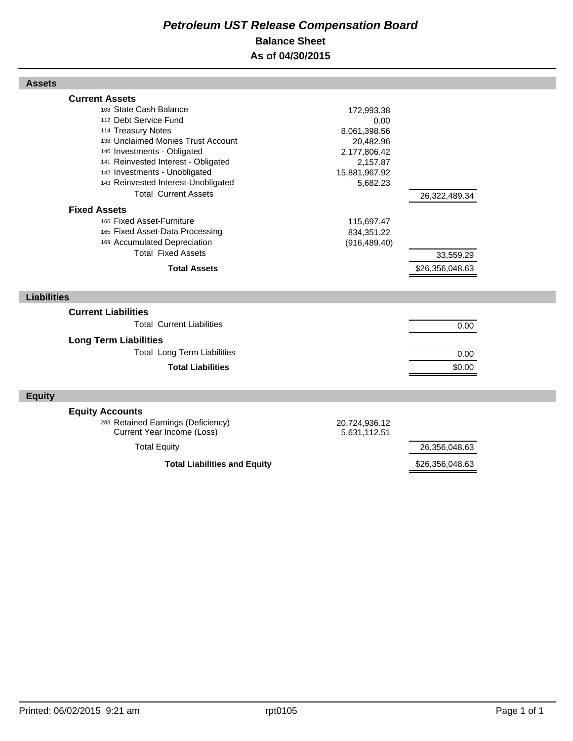# *Petroleum UST Release Compensation Board*  **Balance Sheet As of 04/30/2015**

| <b>Assets</b>                                                                                                                                                                                                                                                                                                                                                                                                                                                                                |                                                                                                                                                       |                                               |  |
|----------------------------------------------------------------------------------------------------------------------------------------------------------------------------------------------------------------------------------------------------------------------------------------------------------------------------------------------------------------------------------------------------------------------------------------------------------------------------------------------|-------------------------------------------------------------------------------------------------------------------------------------------------------|-----------------------------------------------|--|
| <b>Current Assets</b><br>108 State Cash Balance<br>112 Debt Service Fund<br>114 Treasury Notes<br>138 Unclaimed Monies Trust Account<br>140 Investments - Obligated<br>141 Reinvested Interest - Obligated<br>142 Investments - Unobligated<br>143 Reinvested Interest-Unobligated<br><b>Total Current Assets</b><br><b>Fixed Assets</b><br>160 Fixed Asset-Furniture<br>165 Fixed Asset-Data Processing<br>169 Accumulated Depreciation<br><b>Total Fixed Assets</b><br><b>Total Assets</b> | 172,993.38<br>0.00<br>8,061,398.56<br>20,482.96<br>2,177,806.42<br>2,157.87<br>15,881,967.92<br>5,682.23<br>115,697.47<br>834,351.22<br>(916, 489.40) | 26,322,489.34<br>33,559.29<br>\$26,356,048.63 |  |
| <b>Liabilities</b>                                                                                                                                                                                                                                                                                                                                                                                                                                                                           |                                                                                                                                                       |                                               |  |
| <b>Current Liabilities</b>                                                                                                                                                                                                                                                                                                                                                                                                                                                                   |                                                                                                                                                       |                                               |  |
| <b>Total Current Liabilities</b>                                                                                                                                                                                                                                                                                                                                                                                                                                                             |                                                                                                                                                       | 0.00                                          |  |
| <b>Long Term Liabilities</b><br><b>Total Long Term Liabilities</b><br><b>Total Liabilities</b>                                                                                                                                                                                                                                                                                                                                                                                               |                                                                                                                                                       | 0.00<br>\$0.00                                |  |
| <b>Equity</b>                                                                                                                                                                                                                                                                                                                                                                                                                                                                                |                                                                                                                                                       |                                               |  |
| <b>Equity Accounts</b><br>283 Retained Earnings (Deficiency)<br>Current Year Income (Loss)                                                                                                                                                                                                                                                                                                                                                                                                   | 20,724,936.12<br>5,631,112.51                                                                                                                         |                                               |  |
| <b>Total Equity</b>                                                                                                                                                                                                                                                                                                                                                                                                                                                                          |                                                                                                                                                       | 26,356,048.63                                 |  |
| <b>Total Liabilities and Equity</b>                                                                                                                                                                                                                                                                                                                                                                                                                                                          |                                                                                                                                                       | \$26,356,048.63                               |  |

Г

Г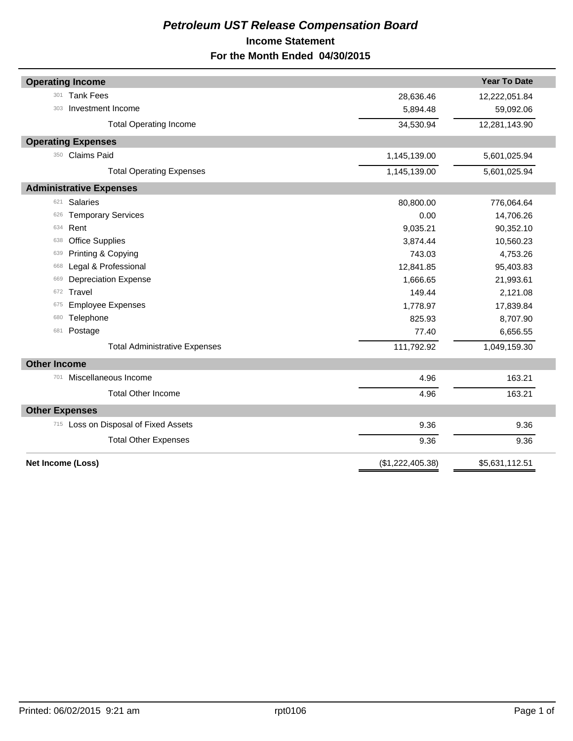# *Petroleum UST Release Compensation Board*  **Income Statement For the Month Ended 04/30/2015**

|                                      |                  | <b>Year To Date</b> |
|--------------------------------------|------------------|---------------------|
| <b>Operating Income</b>              |                  |                     |
| <b>Tank Fees</b><br>301              | 28,636.46        | 12,222,051.84       |
| Investment Income<br>303             | 5,894.48         | 59,092.06           |
| <b>Total Operating Income</b>        | 34,530.94        | 12,281,143.90       |
| <b>Operating Expenses</b>            |                  |                     |
| <b>Claims Paid</b><br>350            | 1,145,139.00     | 5,601,025.94        |
| <b>Total Operating Expenses</b>      | 1,145,139.00     | 5,601,025.94        |
| <b>Administrative Expenses</b>       |                  |                     |
| <b>Salaries</b><br>621               | 80,800.00        | 776,064.64          |
| <b>Temporary Services</b><br>626     | 0.00             | 14,706.26           |
| Rent<br>634                          | 9,035.21         | 90,352.10           |
| <b>Office Supplies</b><br>638        | 3,874.44         | 10,560.23           |
| Printing & Copying<br>639            | 743.03           | 4,753.26            |
| Legal & Professional<br>668          | 12,841.85        | 95,403.83           |
| <b>Depreciation Expense</b><br>669   | 1,666.65         | 21,993.61           |
| Travel<br>672                        | 149.44           | 2,121.08            |
| <b>Employee Expenses</b><br>675      | 1,778.97         | 17,839.84           |
| Telephone<br>680                     | 825.93           | 8,707.90            |
| Postage<br>681                       | 77.40            | 6,656.55            |
| <b>Total Administrative Expenses</b> | 111,792.92       | 1,049,159.30        |
| <b>Other Income</b>                  |                  |                     |
| Miscellaneous Income<br>701          | 4.96             | 163.21              |
| <b>Total Other Income</b>            | 4.96             | 163.21              |
| <b>Other Expenses</b>                |                  |                     |
| 715 Loss on Disposal of Fixed Assets | 9.36             | 9.36                |
| <b>Total Other Expenses</b>          | 9.36             | 9.36                |
| <b>Net Income (Loss)</b>             | (\$1,222,405.38) | \$5,631,112.51      |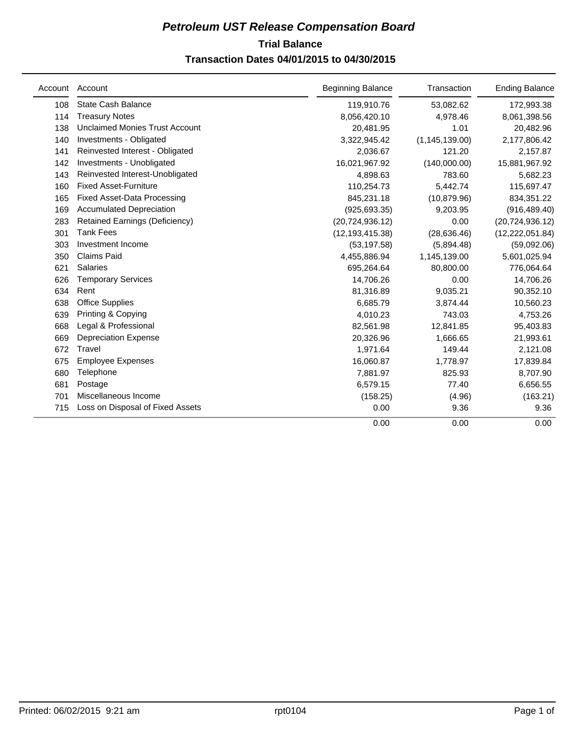# **Trial Balance** *Petroleum UST Release Compensation Board*  **Transaction Dates 04/01/2015 to 04/30/2015**

| Account | Account                               | <b>Beginning Balance</b> | Transaction      | <b>Ending Balance</b> |
|---------|---------------------------------------|--------------------------|------------------|-----------------------|
| 108     | <b>State Cash Balance</b>             | 119,910.76               | 53,082.62        | 172,993.38            |
| 114     | <b>Treasury Notes</b>                 | 8,056,420.10             | 4,978.46         | 8,061,398.56          |
| 138     | <b>Unclaimed Monies Trust Account</b> | 20,481.95                | 1.01             | 20,482.96             |
| 140     | Investments - Obligated               | 3,322,945.42             | (1, 145, 139.00) | 2,177,806.42          |
| 141     | Reinvested Interest - Obligated       | 2,036.67                 | 121.20           | 2,157.87              |
| 142     | Investments - Unobligated             | 16,021,967.92            | (140,000.00)     | 15,881,967.92         |
| 143     | Reinvested Interest-Unobligated       | 4,898.63                 | 783.60           | 5,682.23              |
| 160     | <b>Fixed Asset-Furniture</b>          | 110,254.73               | 5,442.74         | 115,697.47            |
| 165     | <b>Fixed Asset-Data Processing</b>    | 845,231.18               | (10, 879.96)     | 834,351.22            |
| 169     | <b>Accumulated Depreciation</b>       | (925, 693.35)            | 9,203.95         | (916, 489.40)         |
| 283     | <b>Retained Earnings (Deficiency)</b> | (20, 724, 936.12)        | 0.00             | (20, 724, 936.12)     |
| 301     | <b>Tank Fees</b>                      | (12, 193, 415.38)        | (28, 636.46)     | (12, 222, 051.84)     |
| 303     | Investment Income                     | (53, 197.58)             | (5,894.48)       | (59,092.06)           |
| 350     | <b>Claims Paid</b>                    | 4,455,886.94             | 1,145,139.00     | 5,601,025.94          |
| 621     | <b>Salaries</b>                       | 695,264.64               | 80,800.00        | 776,064.64            |
| 626     | <b>Temporary Services</b>             | 14,706.26                | 0.00             | 14,706.26             |
| 634     | Rent                                  | 81,316.89                | 9,035.21         | 90,352.10             |
| 638     | <b>Office Supplies</b>                | 6,685.79                 | 3,874.44         | 10,560.23             |
| 639     | Printing & Copying                    | 4,010.23                 | 743.03           | 4,753.26              |
| 668     | Legal & Professional                  | 82,561.98                | 12,841.85        | 95,403.83             |
| 669     | <b>Depreciation Expense</b>           | 20,326.96                | 1,666.65         | 21,993.61             |
| 672     | Travel                                | 1,971.64                 | 149.44           | 2,121.08              |
| 675     | <b>Employee Expenses</b>              | 16,060.87                | 1,778.97         | 17,839.84             |
| 680     | Telephone                             | 7,881.97                 | 825.93           | 8,707.90              |
| 681     | Postage                               | 6,579.15                 | 77.40            | 6,656.55              |
| 701     | Miscellaneous Income                  | (158.25)                 | (4.96)           | (163.21)              |
| 715     | Loss on Disposal of Fixed Assets      | 0.00                     | 9.36             | 9.36                  |
|         |                                       | 0.00                     | 0.00             | 0.00                  |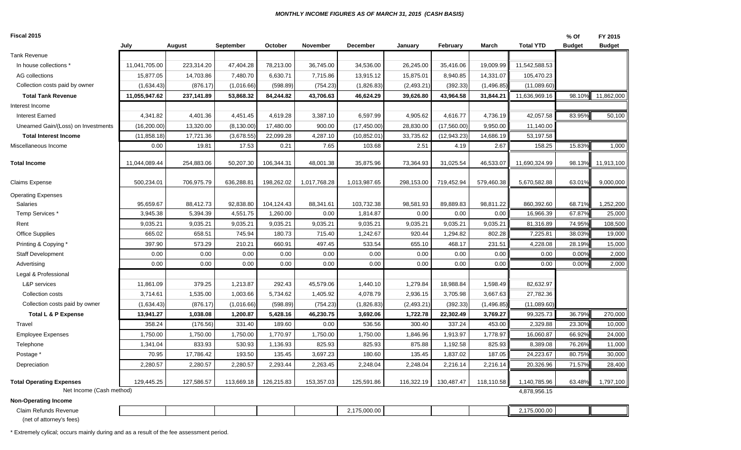#### *MONTHLY INCOME FIGURES AS OF MARCH 31, 2015 (CASH BASIS)*

| Fiscal 2015                                             |               |            |             |            |                 |                 |            |              |              |                  | % Of          | FY 2015       |
|---------------------------------------------------------|---------------|------------|-------------|------------|-----------------|-----------------|------------|--------------|--------------|------------------|---------------|---------------|
|                                                         | July          | August     | September   | October    | <b>November</b> | <b>December</b> | January    | February     | <b>March</b> | <b>Total YTD</b> | <b>Budget</b> | <b>Budget</b> |
| <b>Tank Revenue</b>                                     |               |            |             |            |                 |                 |            |              |              |                  |               |               |
| In house collections                                    | 11,041,705.00 | 223,314.20 | 47,404.28   | 78,213.00  | 36,745.00       | 34,536.00       | 26,245.00  | 35,416.06    | 19,009.99    | 11,542,588.53    |               |               |
| AG collections                                          | 15,877.05     | 14,703.86  | 7,480.70    | 6,630.71   | 7,715.86        | 13,915.12       | 15,875.01  | 8,940.85     | 14,331.07    | 105,470.23       |               |               |
| Collection costs paid by owner                          | (1,634.43)    | (876.17)   | (1,016.66)  | (598.89)   | (754.23)        | (1,826.83)      | (2,493.21) | (392.33)     | (1,496.85)   | (11,089.60)      |               |               |
| <b>Total Tank Revenue</b>                               | 11,055,947.62 | 237,141.89 | 53,868.32   | 84,244.82  | 43,706.63       | 46,624.29       | 39,626.80  | 43,964.58    | 31,844.21    | 11,636,969.16    | 98.10%        | 11,862,000    |
| Interest Income                                         |               |            |             |            |                 |                 |            |              |              |                  |               |               |
| <b>Interest Earned</b>                                  | 4,341.82      | 4,401.36   | 4,451.45    | 4,619.28   | 3,387.10        | 6,597.99        | 4,905.62   | 4,616.77     | 4,736.19     | 42,057.58        | 83.95%        | 50,100        |
| Unearned Gain/(Loss) on Investments                     | (16, 200.00)  | 13,320.00  | (8, 130.00) | 17,480.00  | 900.00          | (17, 450.00)    | 28,830.00  | (17,560.00)  | 9,950.00     | 11,140.00        |               |               |
| <b>Total Interest Income</b>                            | (11, 858.18)  | 17,721.36  | (3,678.55)  | 22,099.28  | 4,287.10        | (10.852.01)     | 33,735.62  | (12, 943.23) | 14,686.19    | 53,197.58        |               |               |
| Miscellaneous Income                                    | 0.00          | 19.81      | 17.53       | 0.21       | 7.65            | 103.68          | 2.51       | 4.19         | 2.67         | 158.25           | 15.83%        | 1,000         |
| <b>Total Income</b>                                     | 11,044,089.44 | 254,883.06 | 50,207.30   | 106,344.31 | 48,001.38       | 35,875.96       | 73,364.93  | 31,025.54    | 46,533.07    | 11,690,324.99    | 98.13%        | 11,913,100    |
| <b>Claims Expense</b>                                   | 500,234.01    | 706,975.79 | 636,288.81  | 198,262.02 | 1,017,768.28    | 1,013,987.65    | 298,153.00 | 719,452.94   | 579,460.38   | 5,670,582.88     | 63.01%        | 9,000,000     |
| <b>Operating Expenses</b>                               |               |            |             |            |                 |                 |            |              |              |                  |               |               |
| <b>Salaries</b>                                         | 95,659.67     | 88,412.73  | 92,838.80   | 104,124.43 | 88,341.61       | 103,732.38      | 98,581.93  | 89,889.83    | 98,811.22    | 860,392.60       | 68.71%        | 1,252,200     |
| Temp Services <sup>*</sup>                              | 3,945.38      | 5,394.39   | 4,551.75    | 1,260.00   | 0.00            | 1,814.87        | 0.00       | 0.00         | 0.00         | 16,966.39        | 67.87%        | 25,000        |
| Rent                                                    | 9,035.21      | 9,035.21   | 9,035.21    | 9,035.21   | 9,035.21        | 9,035.21        | 9,035.21   | 9,035.21     | 9,035.21     | 81,316.89        | 74.95%        | 108,500       |
| Office Supplies                                         | 665.02        | 658.51     | 745.94      | 180.73     | 715.40          | 1,242.67        | 920.44     | 1,294.82     | 802.28       | 7,225.81         | 38.03%        | 19,000        |
| Printing & Copying *                                    | 397.90        | 573.29     | 210.21      | 660.91     | 497.45          | 533.54          | 655.10     | 468.17       | 231.51       | 4,228.08         | 28.19%        | 15,000        |
| <b>Staff Development</b>                                | 0.00          | 0.00       | 0.00        | 0.00       | 0.00            | 0.00            | 0.00       | 0.00         | 0.00         | 0.00             | 0.00%         | 2,000         |
| Advertising                                             | 0.00          | 0.00       | 0.00        | 0.00       | 0.00            | 0.00            | 0.00       | 0.00         | 0.00         | 0.00             | 0.00%         | 2,000         |
| Legal & Professional                                    |               |            |             |            |                 |                 |            |              |              |                  |               |               |
| L&P services                                            | 11,861.09     | 379.25     | 1,213.87    | 292.43     | 45,579.06       | 1,440.10        | 1,279.84   | 18,988.84    | 1,598.49     | 82,632.97        |               |               |
| Collection costs                                        | 3,714.61      | 1,535.00   | 1,003.66    | 5,734.62   | 1,405.92        | 4,078.79        | 2,936.15   | 3,705.98     | 3,667.63     | 27,782.36        |               |               |
| Collection costs paid by owner                          | (1,634.43)    | (876.17)   | (1,016.66)  | (598.89)   | (754.23)        | (1,826.83)      | (2,493.21) | (392.33)     | (1,496.85)   | (11,089.60)      |               |               |
| <b>Total L &amp; P Expense</b>                          | 13,941.27     | 1,038.08   | 1,200.87    | 5,428.16   | 46,230.75       | 3,692.06        | 1,722.78   | 22,302.49    | 3,769.27     | 99,325.73        | 36.79%        | 270,000       |
| Travel                                                  | 358.24        | (176.56)   | 331.40      | 189.60     | 0.00            | 536.56          | 300.40     | 337.24       | 453.00       | 2,329.88         | 23.30%        | 10,000        |
| <b>Employee Expenses</b>                                | 1,750.00      | 1,750.00   | 1,750.00    | 1,770.97   | 1,750.00        | 1,750.00        | 1,846.96   | 1,913.97     | 1,778.97     | 16,060.87        | 66.92%        | 24,000        |
| Telephone                                               | 1,341.04      | 833.93     | 530.93      | 1,136.93   | 825.93          | 825.93          | 875.88     | 1,192.58     | 825.93       | 8,389.08         | 76.26%        | 11,000        |
| Postage *                                               | 70.95         | 17,786.42  | 193.50      | 135.45     | 3,697.23        | 180.60          | 135.45     | 1,837.02     | 187.05       | 24,223.67        | 80.75%        | 30,000        |
| Depreciation                                            | 2,280.57      | 2,280.57   | 2,280.57    | 2,293.44   | 2,263.45        | 2,248.04        | 2,248.04   | 2,216.14     | 2,216.14     | 20,326.96        | 71.57%        | 28,400        |
| <b>Total Operating Expenses</b>                         | 129,445.25    | 127,586.57 | 113,669.18  | 126,215.83 | 153,357.03      | 125,591.86      | 116,322.19 | 130,487.47   | 118,110.58   | 1,140,785.96     | 63.48%        | 1,797,100     |
| Net Income (Cash method)<br><b>Non-Operating Income</b> |               |            |             |            |                 |                 |            |              |              | 4,878,956.15     |               |               |
| Claim Refunds Revenue                                   |               |            |             |            |                 | 2,175,000.00    |            |              |              | 2,175,000.00     |               |               |

(net of attorney's fees)

\* Extremely cylical; occurs mainly during and as a result of the fee assessment period.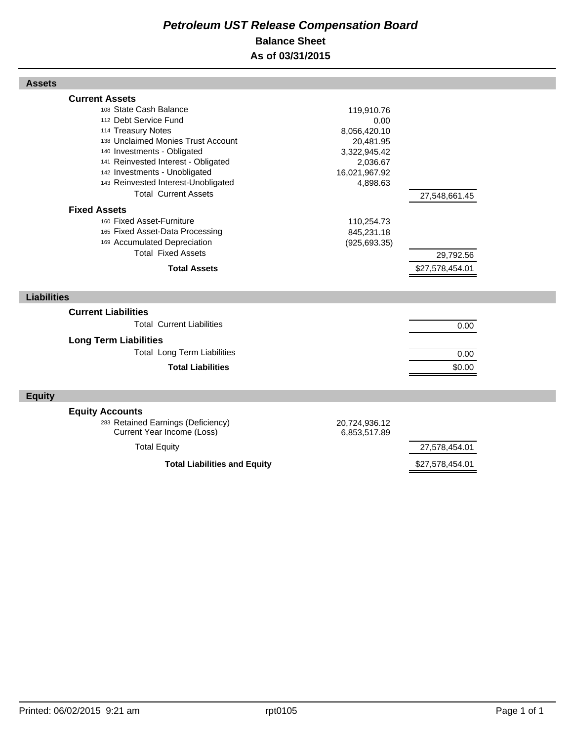# *Petroleum UST Release Compensation Board*  **Balance Sheet As of 03/31/2015**

| <b>Assets</b>                                                                                                                                                                                                                                                                                                                            |                                                                                                          |                                             |  |
|------------------------------------------------------------------------------------------------------------------------------------------------------------------------------------------------------------------------------------------------------------------------------------------------------------------------------------------|----------------------------------------------------------------------------------------------------------|---------------------------------------------|--|
| <b>Current Assets</b><br>108 State Cash Balance<br>112 Debt Service Fund<br>114 Treasury Notes<br>138 Unclaimed Monies Trust Account<br>140 Investments - Obligated<br>141 Reinvested Interest - Obligated<br>142 Investments - Unobligated<br>143 Reinvested Interest-Unobligated<br><b>Total Current Assets</b><br><b>Fixed Assets</b> | 119,910.76<br>0.00<br>8,056,420.10<br>20,481.95<br>3,322,945.42<br>2,036.67<br>16,021,967.92<br>4,898.63 | 27,548,661.45                               |  |
| 160 Fixed Asset-Furniture<br>165 Fixed Asset-Data Processing<br>169 Accumulated Depreciation<br><b>Total Fixed Assets</b><br><b>Total Assets</b>                                                                                                                                                                                         | 110,254.73<br>845,231.18<br>(925, 693.35)                                                                | 29,792.56<br>\$27,578,454.01                |  |
| <b>Liabilities</b>                                                                                                                                                                                                                                                                                                                       |                                                                                                          |                                             |  |
| <b>Current Liabilities</b><br><b>Total Current Liabilities</b><br><b>Long Term Liabilities</b><br><b>Total Long Term Liabilities</b><br><b>Total Liabilities</b>                                                                                                                                                                         |                                                                                                          | 0.00<br>0.00<br>\$0.00                      |  |
| <b>Equity</b>                                                                                                                                                                                                                                                                                                                            |                                                                                                          |                                             |  |
| <b>Equity Accounts</b><br>283 Retained Earnings (Deficiency)<br>Current Year Income (Loss)<br><b>Total Equity</b>                                                                                                                                                                                                                        | 20,724,936.12<br>6,853,517.89                                                                            | 27,578,454.01                               |  |
|                                                                                                                                                                                                                                                                                                                                          |                                                                                                          | $\wedge$ - - - $\wedge$ $\wedge$ - $\wedge$ |  |

**Total Liabilities and Equity 6.1 August 27,578,454.01** 

Г

Г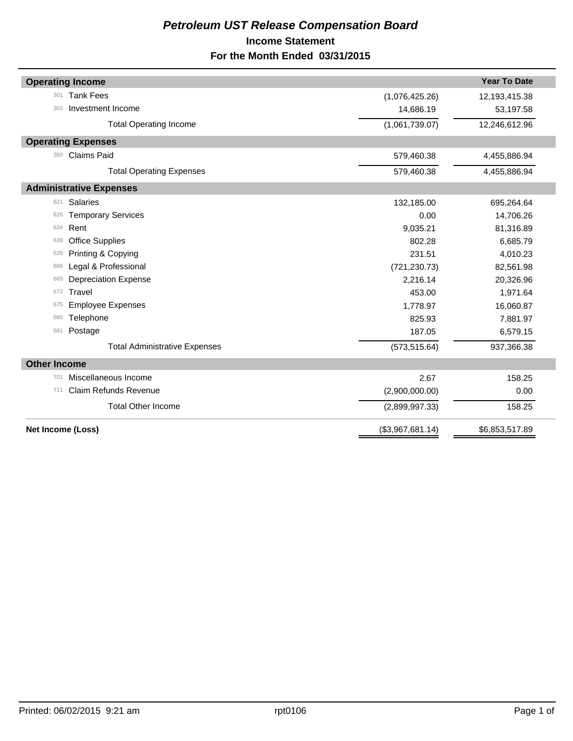# *Petroleum UST Release Compensation Board*  **Income Statement For the Month Ended 03/31/2015**

| <b>Operating Income</b>              |                  | <b>Year To Date</b> |
|--------------------------------------|------------------|---------------------|
| <b>Tank Fees</b><br>301              | (1,076,425.26)   | 12,193,415.38       |
| Investment Income<br>303             | 14,686.19        | 53,197.58           |
| <b>Total Operating Income</b>        | (1,061,739.07)   | 12,246,612.96       |
| <b>Operating Expenses</b>            |                  |                     |
| <b>Claims Paid</b><br>350            | 579,460.38       | 4,455,886.94        |
| <b>Total Operating Expenses</b>      | 579,460.38       | 4,455,886.94        |
| <b>Administrative Expenses</b>       |                  |                     |
| <b>Salaries</b><br>621               | 132,185.00       | 695,264.64          |
| <b>Temporary Services</b><br>626     | 0.00             | 14,706.26           |
| Rent<br>634                          | 9,035.21         | 81,316.89           |
| <b>Office Supplies</b><br>638        | 802.28           | 6,685.79            |
| Printing & Copying<br>639            | 231.51           | 4,010.23            |
| Legal & Professional<br>668          | (721, 230.73)    | 82,561.98           |
| <b>Depreciation Expense</b><br>669   | 2,216.14         | 20,326.96           |
| Travel<br>672                        | 453.00           | 1,971.64            |
| <b>Employee Expenses</b><br>675      | 1,778.97         | 16,060.87           |
| Telephone<br>680                     | 825.93           | 7,881.97            |
| Postage<br>681                       | 187.05           | 6,579.15            |
| <b>Total Administrative Expenses</b> | (573, 515.64)    | 937,366.38          |
| <b>Other Income</b>                  |                  |                     |
| Miscellaneous Income<br>701          | 2.67             | 158.25              |
| <b>Claim Refunds Revenue</b><br>711  | (2,900,000.00)   | 0.00                |
| <b>Total Other Income</b>            | (2,899,997.33)   | 158.25              |
| Net Income (Loss)                    | (\$3,967,681.14) | \$6,853,517.89      |
|                                      |                  |                     |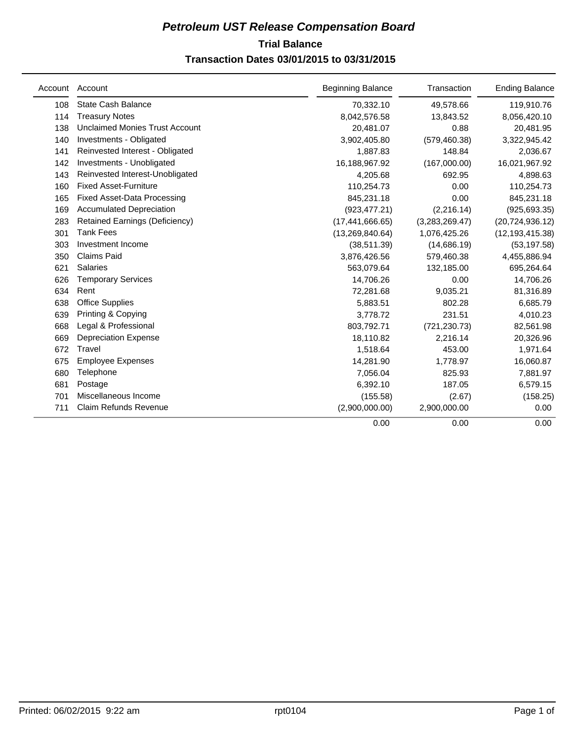# **Trial Balance** *Petroleum UST Release Compensation Board*

# **Transaction Dates 03/01/2015 to 03/31/2015**

|     | Account Account                       | <b>Beginning Balance</b> | Transaction    | <b>Ending Balance</b> |
|-----|---------------------------------------|--------------------------|----------------|-----------------------|
| 108 | <b>State Cash Balance</b>             | 70,332.10                | 49,578.66      | 119,910.76            |
| 114 | <b>Treasury Notes</b>                 | 8,042,576.58             | 13,843.52      | 8,056,420.10          |
| 138 | <b>Unclaimed Monies Trust Account</b> | 20,481.07                | 0.88           | 20,481.95             |
| 140 | Investments - Obligated               | 3,902,405.80             | (579, 460.38)  | 3,322,945.42          |
| 141 | Reinvested Interest - Obligated       | 1,887.83                 | 148.84         | 2,036.67              |
| 142 | Investments - Unobligated             | 16,188,967.92            | (167,000.00)   | 16,021,967.92         |
| 143 | Reinvested Interest-Unobligated       | 4,205.68                 | 692.95         | 4,898.63              |
| 160 | <b>Fixed Asset-Furniture</b>          | 110,254.73               | 0.00           | 110,254.73            |
| 165 | <b>Fixed Asset-Data Processing</b>    | 845,231.18               | 0.00           | 845,231.18            |
| 169 | <b>Accumulated Depreciation</b>       | (923, 477.21)            | (2, 216.14)    | (925, 693.35)         |
| 283 | Retained Earnings (Deficiency)        | (17, 441, 666.65)        | (3,283,269.47) | (20, 724, 936.12)     |
| 301 | <b>Tank Fees</b>                      | (13,269,840.64)          | 1,076,425.26   | (12, 193, 415.38)     |
| 303 | Investment Income                     | (38, 511.39)             | (14,686.19)    | (53, 197.58)          |
| 350 | <b>Claims Paid</b>                    | 3,876,426.56             | 579,460.38     | 4,455,886.94          |
| 621 | <b>Salaries</b>                       | 563,079.64               | 132,185.00     | 695,264.64            |
| 626 | <b>Temporary Services</b>             | 14,706.26                | 0.00           | 14,706.26             |
| 634 | Rent                                  | 72,281.68                | 9,035.21       | 81,316.89             |
| 638 | <b>Office Supplies</b>                | 5,883.51                 | 802.28         | 6,685.79              |
| 639 | Printing & Copying                    | 3,778.72                 | 231.51         | 4,010.23              |
| 668 | Legal & Professional                  | 803,792.71               | (721, 230.73)  | 82,561.98             |
| 669 | <b>Depreciation Expense</b>           | 18,110.82                | 2,216.14       | 20,326.96             |
| 672 | Travel                                | 1,518.64                 | 453.00         | 1,971.64              |
| 675 | <b>Employee Expenses</b>              | 14,281.90                | 1,778.97       | 16,060.87             |
| 680 | Telephone                             | 7,056.04                 | 825.93         | 7,881.97              |
| 681 | Postage                               | 6,392.10                 | 187.05         | 6,579.15              |
| 701 | Miscellaneous Income                  | (155.58)                 | (2.67)         | (158.25)              |
| 711 | <b>Claim Refunds Revenue</b>          | (2,900,000.00)           | 2,900,000.00   | 0.00                  |
|     |                                       | 0.00                     | 0.00           | 0.00                  |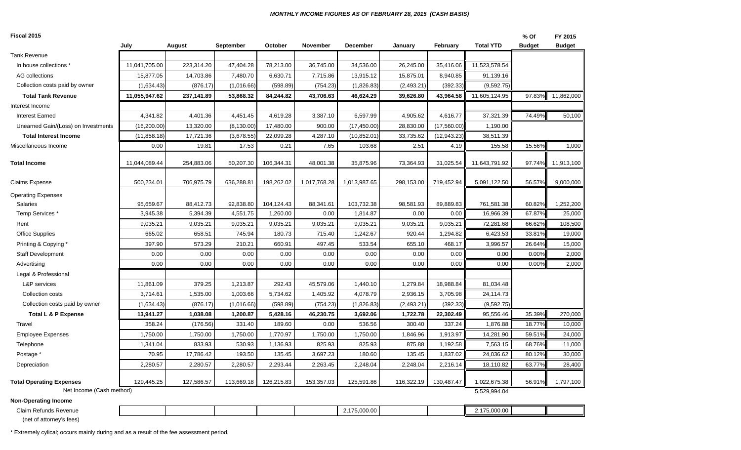#### *MONTHLY INCOME FIGURES AS OF FEBRUARY 28, 2015 (CASH BASIS)*

#### **Fiscal 2015**

| <b>Fiscal 2015</b>                  |               |            |                  |            |              |                 |            |              |                  | % Of          | FY 2015       |
|-------------------------------------|---------------|------------|------------------|------------|--------------|-----------------|------------|--------------|------------------|---------------|---------------|
|                                     | July          | August     | <b>September</b> | October    | November     | <b>December</b> | January    | February     | <b>Total YTD</b> | <b>Budget</b> | <b>Budget</b> |
| <b>Tank Revenue</b>                 |               |            |                  |            |              |                 |            |              |                  |               |               |
| In house collections *              | 11,041,705.00 | 223,314.20 | 47,404.28        | 78,213.00  | 36,745.00    | 34,536.00       | 26,245.00  | 35,416.06    | 11,523,578.54    |               |               |
| AG collections                      | 15,877.05     | 14,703.86  | 7,480.70         | 6,630.71   | 7,715.86     | 13,915.12       | 15,875.01  | 8,940.85     | 91,139.16        |               |               |
| Collection costs paid by owner      | (1,634.43)    | (876.17)   | (1,016.66)       | (598.89)   | (754.23)     | (1,826.83)      | (2,493.21) | (392.33)     | (9,592.75)       |               |               |
| <b>Total Tank Revenue</b>           | 11,055,947.62 | 237,141.89 | 53,868.32        | 84,244.82  | 43,706.63    | 46,624.29       | 39,626.80  | 43,964.58    | 11,605,124.95    | 97.83%        | 11,862,000    |
| Interest Income                     |               |            |                  |            |              |                 |            |              |                  |               |               |
| <b>Interest Earned</b>              | 4,341.82      | 4,401.36   | 4,451.45         | 4,619.28   | 3,387.10     | 6,597.99        | 4,905.62   | 4,616.77     | 37,321.39        | 74.49%        | 50,100        |
| Unearned Gain/(Loss) on Investments | (16, 200.00)  | 13,320.00  | (8, 130.00)      | 17,480.00  | 900.00       | (17, 450.00)    | 28,830.00  | (17,560.00)  | 1,190.00         |               |               |
| <b>Total Interest Income</b>        | (11, 858.18)  | 17,721.36  | (3,678.55)       | 22,099.28  | 4,287.10     | (10, 852.01)    | 33,735.62  | (12, 943.23) | 38,511.39        |               |               |
| Miscellaneous Income                | 0.00          | 19.81      | 17.53            | 0.21       | 7.65         | 103.68          | 2.51       | 4.19         | 155.58           | 15.56%        | 1,000         |
| <b>Total Income</b>                 | 11,044,089.44 | 254,883.06 | 50,207.30        | 106,344.31 | 48,001.38    | 35,875.96       | 73,364.93  | 31,025.54    | 11,643,791.92    | 97.74%        | 11,913,100    |
| <b>Claims Expense</b>               | 500,234.01    | 706,975.79 | 636,288.81       | 198,262.02 | 1,017,768.28 | 1,013,987.65    | 298,153.00 | 719,452.94   | 5,091,122.50     | 56.57%        | 9,000,000     |
| <b>Operating Expenses</b>           |               |            |                  |            |              |                 |            |              |                  |               |               |
| Salaries                            | 95,659.67     | 88,412.73  | 92,838.80        | 104,124.43 | 88,341.61    | 103,732.38      | 98,581.93  | 89,889.83    | 761,581.38       | 60.82%        | 1,252,200     |
| Temp Services *                     | 3,945.38      | 5,394.39   | 4,551.75         | 1,260.00   | 0.00         | 1,814.87        | 0.00       | 0.00         | 16,966.39        | 67.87%        | 25,000        |
| Rent                                | 9,035.21      | 9,035.21   | 9,035.21         | 9,035.21   | 9,035.21     | 9,035.21        | 9,035.21   | 9,035.21     | 72,281.68        | 66.62%        | 108,500       |
| <b>Office Supplies</b>              | 665.02        | 658.51     | 745.94           | 180.73     | 715.40       | 1,242.67        | 920.44     | 1,294.82     | 6,423.53         | 33.81%        | 19,000        |
| Printing & Copying *                | 397.90        | 573.29     | 210.21           | 660.91     | 497.45       | 533.54          | 655.10     | 468.17       | 3,996.57         | 26.64%        | 15,000        |
| <b>Staff Development</b>            | 0.00          | 0.00       | 0.00             | 0.00       | 0.00         | 0.00            | 0.00       | 0.00         | 0.00             | 0.00%         | 2,000         |
| Advertising                         | 0.00          | 0.00       | 0.00             | 0.00       | 0.00         | 0.00            | 0.00       | 0.00         | 0.00             | 0.00%         | 2,000         |
| Legal & Professional                |               |            |                  |            |              |                 |            |              |                  |               |               |
| L&P services                        | 11,861.09     | 379.25     | 1,213.87         | 292.43     | 45,579.06    | 1,440.10        | 1,279.84   | 18,988.84    | 81,034.48        |               |               |
| Collection costs                    | 3,714.61      | 1,535.00   | 1,003.66         | 5,734.62   | 1,405.92     | 4,078.79        | 2,936.15   | 3,705.98     | 24,114.73        |               |               |
| Collection costs paid by owner      | (1,634.43)    | (876.17)   | (1,016.66)       | (598.89)   | (754.23)     | (1,826.83)      | (2,493.21) | (392.33)     | (9,592.75)       |               |               |
| Total L & P Expense                 | 13,941.27     | 1,038.08   | 1,200.87         | 5,428.16   | 46,230.75    | 3,692.06        | 1,722.78   | 22,302.49    | 95,556.46        | 35.39%        | 270,000       |
| Travel                              | 358.24        | (176.56)   | 331.40           | 189.60     | 0.00         | 536.56          | 300.40     | 337.24       | 1,876.88         | 18.77%        | 10,000        |
| <b>Employee Expenses</b>            | 1,750.00      | 1,750.00   | 1,750.00         | 1,770.97   | 1,750.00     | 1,750.00        | 1,846.96   | 1,913.97     | 14,281.90        | 59.51%        | 24,000        |
| Telephone                           | 1,341.04      | 833.93     | 530.93           | 1,136.93   | 825.93       | 825.93          | 875.88     | 1,192.58     | 7,563.15         | 68.76%        | 11,000        |
| Postage *                           | 70.95         | 17,786.42  | 193.50           | 135.45     | 3,697.23     | 180.60          | 135.45     | 1,837.02     | 24,036.62        | 80.12%        | 30,000        |
| Depreciation                        | 2,280.57      | 2,280.57   | 2,280.57         | 2,293.44   | 2,263.45     | 2,248.04        | 2,248.04   | 2,216.14     | 18,110.82        | 63.77%        | 28,400        |
| <b>Total Operating Expenses</b>     | 129,445.25    | 127,586.57 | 113,669.18       | 126,215.83 | 153,357.03   | 125,591.86      | 116,322.19 | 130,487.47   | 1,022,675.38     | 56.91%        | 1,797,100     |
| Net Income (Cash method)            |               |            |                  |            |              |                 |            |              | 5,529,994.04     |               |               |
| <b>Non-Operating Income</b>         |               |            |                  |            |              |                 |            |              |                  |               |               |
| Claim Refunds Revenue               |               |            |                  |            |              | 2,175,000.00    |            |              | 2,175,000.00     |               |               |

(net of attorney's fees)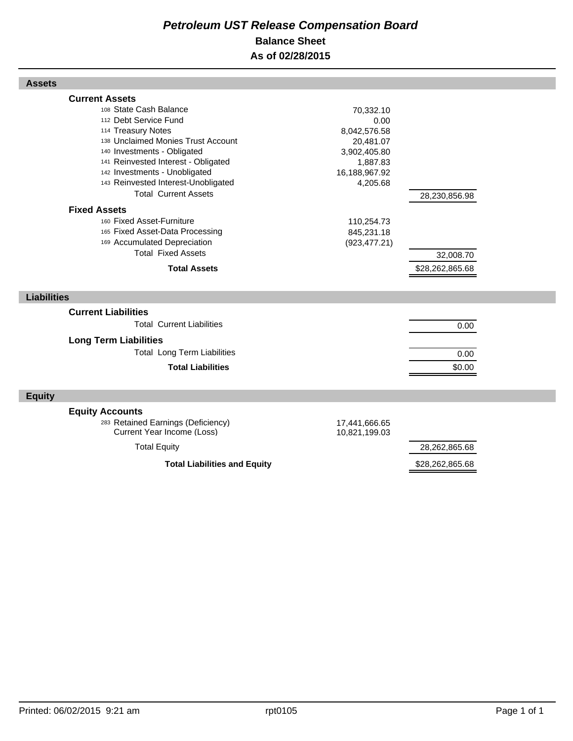# *Petroleum UST Release Compensation Board*  **Balance Sheet As of 02/28/2015**

| <b>Assets</b>                                                                                                                                                                                                                                                                                                                                                                                                                                                                                |                                                                                                                                                      |                                               |  |
|----------------------------------------------------------------------------------------------------------------------------------------------------------------------------------------------------------------------------------------------------------------------------------------------------------------------------------------------------------------------------------------------------------------------------------------------------------------------------------------------|------------------------------------------------------------------------------------------------------------------------------------------------------|-----------------------------------------------|--|
| <b>Current Assets</b><br>108 State Cash Balance<br>112 Debt Service Fund<br>114 Treasury Notes<br>138 Unclaimed Monies Trust Account<br>140 Investments - Obligated<br>141 Reinvested Interest - Obligated<br>142 Investments - Unobligated<br>143 Reinvested Interest-Unobligated<br><b>Total Current Assets</b><br><b>Fixed Assets</b><br>160 Fixed Asset-Furniture<br>165 Fixed Asset-Data Processing<br>169 Accumulated Depreciation<br><b>Total Fixed Assets</b><br><b>Total Assets</b> | 70,332.10<br>0.00<br>8,042,576.58<br>20,481.07<br>3,902,405.80<br>1,887.83<br>16,188,967.92<br>4,205.68<br>110,254.73<br>845,231.18<br>(923, 477.21) | 28,230,856.98<br>32,008.70<br>\$28,262,865.68 |  |
| <b>Liabilities</b>                                                                                                                                                                                                                                                                                                                                                                                                                                                                           |                                                                                                                                                      |                                               |  |
| <b>Current Liabilities</b><br><b>Total Current Liabilities</b><br><b>Long Term Liabilities</b><br><b>Total Long Term Liabilities</b><br><b>Total Liabilities</b>                                                                                                                                                                                                                                                                                                                             |                                                                                                                                                      | 0.00<br>0.00<br>\$0.00                        |  |
| <b>Equity</b>                                                                                                                                                                                                                                                                                                                                                                                                                                                                                |                                                                                                                                                      |                                               |  |
| <b>Equity Accounts</b><br>283 Retained Earnings (Deficiency)<br>Current Year Income (Loss)<br><b>Total Equity</b>                                                                                                                                                                                                                                                                                                                                                                            | 17,441,666.65<br>10,821,199.03                                                                                                                       | 28,262,865.68                                 |  |
| <b>Total Liabilities and Equity</b>                                                                                                                                                                                                                                                                                                                                                                                                                                                          |                                                                                                                                                      | \$28,262,865.68                               |  |

Г

Г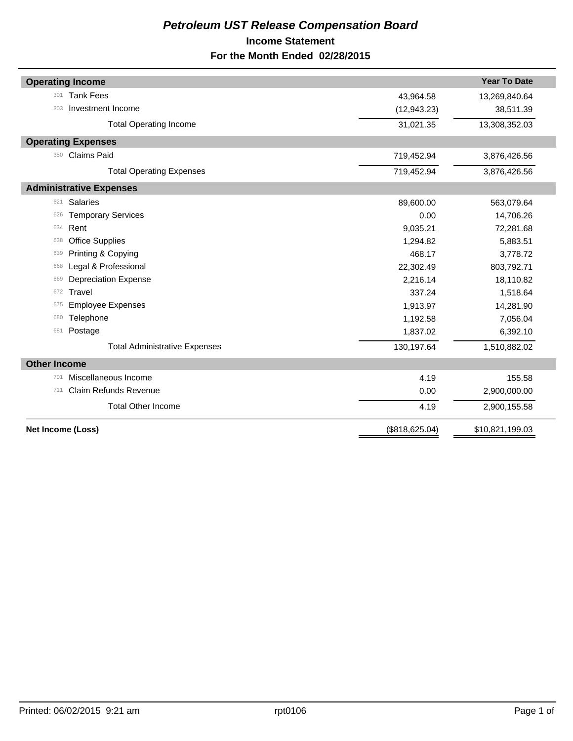# *Petroleum UST Release Compensation Board*  **Income Statement For the Month Ended 02/28/2015**

| <b>Operating Income</b>              |                         | <b>Year To Date</b> |  |  |
|--------------------------------------|-------------------------|---------------------|--|--|
| <b>Tank Fees</b><br>301              | 43,964.58               | 13,269,840.64       |  |  |
| Investment Income<br>303             | (12, 943.23)            | 38,511.39           |  |  |
|                                      |                         |                     |  |  |
| <b>Total Operating Income</b>        | 31,021.35               | 13,308,352.03       |  |  |
| <b>Operating Expenses</b>            |                         |                     |  |  |
| Claims Paid<br>350                   | 719,452.94              | 3,876,426.56        |  |  |
| <b>Total Operating Expenses</b>      | 719,452.94              | 3,876,426.56        |  |  |
| <b>Administrative Expenses</b>       |                         |                     |  |  |
| <b>Salaries</b><br>621               | 89,600.00<br>563,079.64 |                     |  |  |
| <b>Temporary Services</b><br>626     | 0.00                    | 14,706.26           |  |  |
| Rent<br>634                          | 9,035.21                | 72,281.68           |  |  |
| <b>Office Supplies</b><br>638        | 1,294.82                | 5,883.51            |  |  |
| Printing & Copying<br>639            | 468.17                  | 3,778.72            |  |  |
| Legal & Professional<br>668          | 22,302.49               | 803,792.71          |  |  |
| <b>Depreciation Expense</b><br>669   | 2,216.14                | 18,110.82           |  |  |
| Travel<br>672                        | 337.24                  | 1,518.64            |  |  |
| <b>Employee Expenses</b><br>675      | 1,913.97                | 14,281.90           |  |  |
| Telephone<br>680                     | 1,192.58                | 7,056.04            |  |  |
| Postage<br>681                       | 1,837.02                | 6,392.10            |  |  |
| <b>Total Administrative Expenses</b> | 130,197.64              | 1,510,882.02        |  |  |
| <b>Other Income</b>                  |                         |                     |  |  |
| Miscellaneous Income<br>701          | 4.19                    | 155.58              |  |  |
| <b>Claim Refunds Revenue</b><br>711  | 0.00                    | 2,900,000.00        |  |  |
| <b>Total Other Income</b>            | 4.19                    | 2,900,155.58        |  |  |
| Net Income (Loss)                    | (\$818, 625.04)         | \$10,821,199.03     |  |  |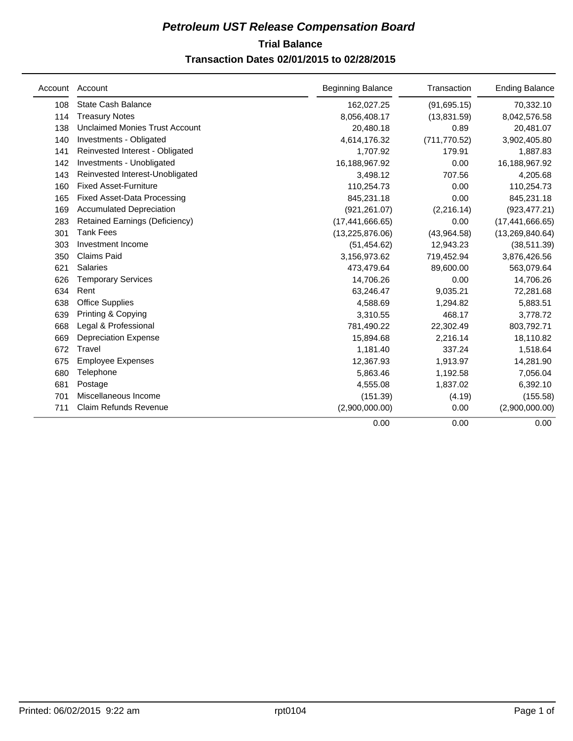# **Trial Balance** *Petroleum UST Release Compensation Board*  **Transaction Dates 02/01/2015 to 02/28/2015**

| Account | Account                               | <b>Beginning Balance</b> | Transaction   | <b>Ending Balance</b> |
|---------|---------------------------------------|--------------------------|---------------|-----------------------|
| 108     | <b>State Cash Balance</b>             | 162,027.25               | (91, 695.15)  | 70,332.10             |
| 114     | <b>Treasury Notes</b>                 | 8,056,408.17             | (13,831.59)   | 8,042,576.58          |
| 138     | <b>Unclaimed Monies Trust Account</b> | 20,480.18                | 0.89          | 20,481.07             |
| 140     | Investments - Obligated               | 4,614,176.32             | (711, 770.52) | 3,902,405.80          |
| 141     | Reinvested Interest - Obligated       | 1,707.92                 | 179.91        | 1,887.83              |
| 142     | Investments - Unobligated             | 16,188,967.92            | 0.00          | 16,188,967.92         |
| 143     | Reinvested Interest-Unobligated       | 3,498.12                 | 707.56        | 4,205.68              |
| 160     | <b>Fixed Asset-Furniture</b>          | 110,254.73               | 0.00          | 110,254.73            |
| 165     | <b>Fixed Asset-Data Processing</b>    | 845,231.18               | 0.00          | 845,231.18            |
| 169     | <b>Accumulated Depreciation</b>       | (921, 261.07)            | (2, 216.14)   | (923, 477.21)         |
| 283     | <b>Retained Earnings (Deficiency)</b> | (17, 441, 666.65)        | 0.00          | (17, 441, 666.65)     |
| 301     | <b>Tank Fees</b>                      | (13, 225, 876.06)        | (43,964.58)   | (13, 269, 840.64)     |
| 303     | Investment Income                     | (51, 454.62)             | 12,943.23     | (38, 511.39)          |
| 350     | <b>Claims Paid</b>                    | 3,156,973.62             | 719,452.94    | 3,876,426.56          |
| 621     | <b>Salaries</b>                       | 473,479.64               | 89,600.00     | 563,079.64            |
| 626     | <b>Temporary Services</b>             | 14,706.26                | 0.00          | 14,706.26             |
| 634     | Rent                                  | 63,246.47                | 9,035.21      | 72,281.68             |
| 638     | <b>Office Supplies</b>                | 4,588.69                 | 1,294.82      | 5,883.51              |
| 639     | Printing & Copying                    | 3,310.55                 | 468.17        | 3,778.72              |
| 668     | Legal & Professional                  | 781,490.22               | 22,302.49     | 803,792.71            |
| 669     | <b>Depreciation Expense</b>           | 15,894.68                | 2,216.14      | 18,110.82             |
| 672     | Travel                                | 1,181.40                 | 337.24        | 1,518.64              |
| 675     | <b>Employee Expenses</b>              | 12,367.93                | 1,913.97      | 14,281.90             |
| 680     | Telephone                             | 5,863.46                 | 1,192.58      | 7,056.04              |
| 681     | Postage                               | 4,555.08                 | 1,837.02      | 6,392.10              |
| 701     | Miscellaneous Income                  | (151.39)                 | (4.19)        | (155.58)              |
| 711     | Claim Refunds Revenue                 | (2,900,000.00)           | 0.00          | (2,900,000.00)        |
|         |                                       | 0.00                     | 0.00          | 0.00                  |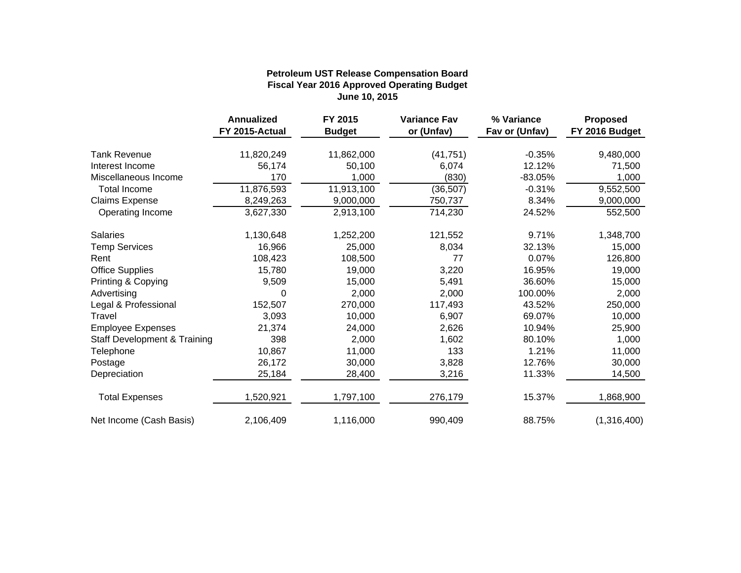|                                         | <b>Annualized</b><br>FY 2015-Actual | FY 2015<br><b>Budget</b> | <b>Variance Fav</b><br>or (Unfav) | % Variance<br>Fav or (Unfav) | <b>Proposed</b><br>FY 2016 Budget |
|-----------------------------------------|-------------------------------------|--------------------------|-----------------------------------|------------------------------|-----------------------------------|
|                                         |                                     |                          |                                   |                              |                                   |
| <b>Tank Revenue</b>                     | 11,820,249                          | 11,862,000               | (41, 751)                         | $-0.35%$                     | 9,480,000                         |
| Interest Income                         | 56,174                              | 50,100                   | 6,074                             | 12.12%                       | 71,500                            |
| Miscellaneous Income                    | 170                                 | 1,000                    | (830)                             | -83.05%                      | 1,000                             |
| <b>Total Income</b>                     | 11,876,593                          | 11,913,100               | (36, 507)                         | $-0.31%$                     | 9,552,500                         |
| <b>Claims Expense</b>                   | 8,249,263                           | 9,000,000                | 750,737                           | 8.34%                        | 9,000,000                         |
| Operating Income                        | 3,627,330                           | 2,913,100                | 714,230                           | 24.52%                       | 552,500                           |
| <b>Salaries</b>                         | 1,130,648                           | 1,252,200                | 121,552                           | 9.71%                        | 1,348,700                         |
| <b>Temp Services</b>                    | 16,966                              | 25,000                   | 8,034                             | 32.13%                       | 15,000                            |
| Rent                                    | 108,423                             | 108,500                  | 77                                | 0.07%                        | 126,800                           |
| <b>Office Supplies</b>                  | 15,780                              | 19,000                   | 3,220                             | 16.95%                       | 19,000                            |
| Printing & Copying                      | 9,509                               | 15,000                   | 5,491                             | 36.60%                       | 15,000                            |
| Advertising                             | 0                                   | 2,000                    | 2,000                             | 100.00%                      | 2,000                             |
| Legal & Professional                    | 152,507                             | 270,000                  | 117,493                           | 43.52%                       | 250,000                           |
| Travel                                  | 3,093                               | 10,000                   | 6,907                             | 69.07%                       | 10,000                            |
| <b>Employee Expenses</b>                | 21,374                              | 24,000                   | 2,626                             | 10.94%                       | 25,900                            |
| <b>Staff Development &amp; Training</b> | 398                                 | 2,000                    | 1,602                             | 80.10%                       | 1,000                             |
| Telephone                               | 10,867                              | 11,000                   | 133                               | 1.21%                        | 11,000                            |
| Postage                                 | 26,172                              | 30,000                   | 3,828                             | 12.76%                       | 30,000                            |
| Depreciation                            | 25,184                              | 28,400                   | 3,216                             | 11.33%                       | 14,500                            |
| <b>Total Expenses</b>                   | 1,520,921                           | 1,797,100                | 276,179                           | 15.37%                       | 1,868,900                         |
| Net Income (Cash Basis)                 | 2,106,409                           | 1,116,000                | 990,409                           | 88.75%                       | (1,316,400)                       |

## **Fiscal Year 2016 Approved Operating Budget June 10, 2015 Petroleum UST Release Compensation Board**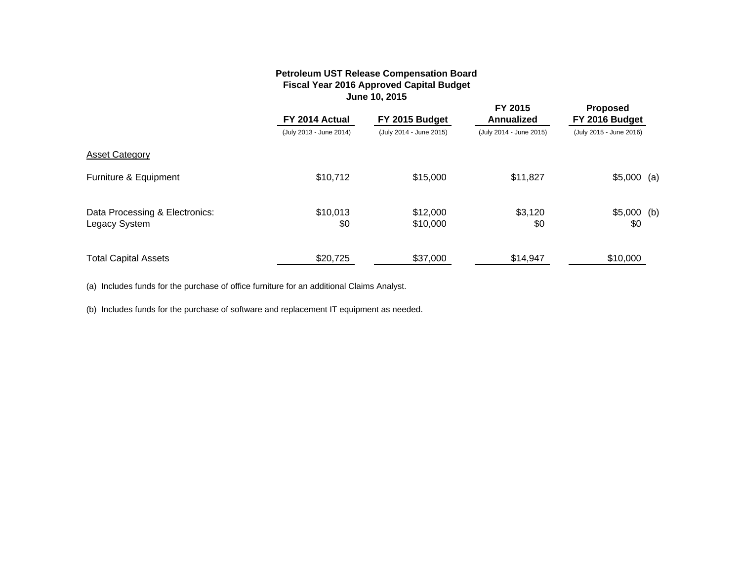## **Petroleum UST Release Compensation Board Fiscal Year 2016 Approved Capital Budget June 10, 2015**

|                                                 | FY 2014 Actual          | FY 2015 Budget          | FY 2015<br><b>Annualized</b> | <b>Proposed</b><br>FY 2016 Budget |  |
|-------------------------------------------------|-------------------------|-------------------------|------------------------------|-----------------------------------|--|
|                                                 | (July 2013 - June 2014) | (July 2014 - June 2015) | (July 2014 - June 2015)      | (July 2015 - June 2016)           |  |
| <b>Asset Category</b>                           |                         |                         |                              |                                   |  |
| Furniture & Equipment                           | \$10,712                | \$15,000                | \$11,827                     | $$5,000$ (a)                      |  |
| Data Processing & Electronics:<br>Legacy System | \$10,013<br>\$0         | \$12,000<br>\$10,000    | \$3,120<br>\$0               | $$5,000$ (b)<br>\$0               |  |
| <b>Total Capital Assets</b>                     | \$20,725                | \$37,000                | \$14,947                     | \$10,000                          |  |

(a) Includes funds for the purchase of office furniture for an additional Claims Analyst.

(b) Includes funds for the purchase of software and replacement IT equipment as needed.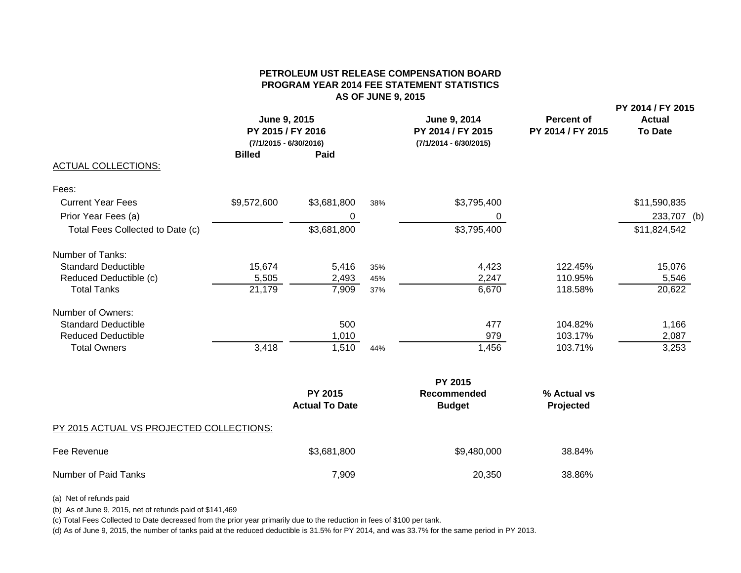## **PETROLEUM UST RELEASE COMPENSATION BOARDPROGRAM YEAR 2014 FEE STATEMENT STATISTICS AS OF JUNE 9, 2015**

|                                  | <b>Billed</b> | June 9, 2015<br>PY 2015 / FY 2016<br>$(7/1/2015 - 6/30/2016)$<br>Paid |     | June 9, 2014<br>PY 2014 / FY 2015<br>$(7/1/2014 - 6/30/2015)$ | <b>Percent of</b><br>PY 2014 / FY 2015 | PY 2014 / FY 2015<br><b>Actual</b><br><b>To Date</b> |  |
|----------------------------------|---------------|-----------------------------------------------------------------------|-----|---------------------------------------------------------------|----------------------------------------|------------------------------------------------------|--|
| <b>ACTUAL COLLECTIONS:</b>       |               |                                                                       |     |                                                               |                                        |                                                      |  |
| Fees:                            |               |                                                                       |     |                                                               |                                        |                                                      |  |
| <b>Current Year Fees</b>         | \$9,572,600   | \$3,681,800                                                           | 38% | \$3,795,400                                                   |                                        | \$11,590,835                                         |  |
| Prior Year Fees (a)              |               | 0                                                                     |     | 0                                                             |                                        | 233,707 (b)                                          |  |
| Total Fees Collected to Date (c) |               | \$3,681,800                                                           |     | \$3,795,400                                                   |                                        | \$11,824,542                                         |  |
| Number of Tanks:                 |               |                                                                       |     |                                                               |                                        |                                                      |  |
| <b>Standard Deductible</b>       | 15,674        | 5,416                                                                 | 35% | 4,423                                                         | 122.45%                                | 15,076                                               |  |
| Reduced Deductible (c)           | 5,505         | 2,493                                                                 | 45% | 2,247                                                         | 110.95%                                | 5,546                                                |  |
| <b>Total Tanks</b>               | 21,179        | 7,909                                                                 | 37% | 6,670                                                         | 118.58%                                | 20,622                                               |  |
| Number of Owners:                |               |                                                                       |     |                                                               |                                        |                                                      |  |
| <b>Standard Deductible</b>       |               | 500                                                                   |     | 477                                                           | 104.82%                                | 1,166                                                |  |
| <b>Reduced Deductible</b>        |               | 1,010                                                                 |     | 979                                                           | 103.17%                                | 2,087                                                |  |
| <b>Total Owners</b>              | 3,418         | 1,510                                                                 | 44% | 1,456                                                         | 103.71%                                | 3,253                                                |  |
|                                  |               |                                                                       |     | PY 2015                                                       |                                        |                                                      |  |
|                                  |               | PY 2015<br><b>Actual To Date</b>                                      |     | <b>Recommended</b><br><b>Budget</b>                           | % Actual vs<br>Projected               |                                                      |  |
|                                  |               |                                                                       |     |                                                               |                                        |                                                      |  |

PY 2015 ACTUAL VS PROJECTED COLLECTIONS:

| Fee Revenue          | \$3,681,800 | \$9,480,000 | 38.84% |
|----------------------|-------------|-------------|--------|
| Number of Paid Tanks | 7,909       | 20,350      | 38.86% |

(a) Net of refunds paid

(b) As of June 9, 2015, net of refunds paid of \$141,469

(c) Total Fees Collected to Date decreased from the prior year primarily due to the reduction in fees of \$100 per tank.

(d) As of June 9, 2015, the number of tanks paid at the reduced deductible is 31.5% for PY 2014, and was 33.7% for the same period in PY 2013.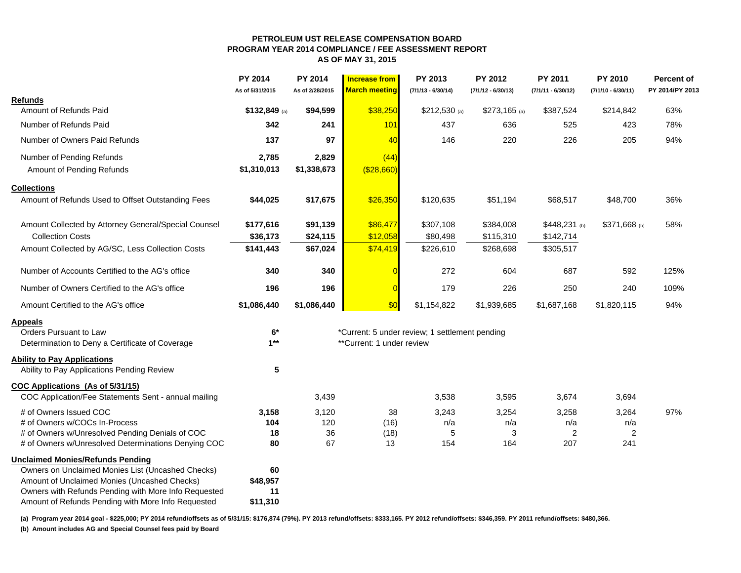#### **PETROLEUM UST RELEASE COMPENSATION BOARDPROGRAM YEAR 2014 COMPLIANCE / FEE ASSESSMENT REPORTAS OF MAY 31, 2015**

|                                                                                                      | <b>PY 2014</b><br>As of 5/31/2015 | <b>PY 2014</b><br>As of 2/28/2015 | Increase from<br><b>March meeting</b> | PY 2013<br>$(7/1/13 - 6/30/14)$                | PY 2012<br>$(7/1/12 - 6/30/13)$ | PY 2011<br>$(7/1/11 - 6/30/12)$ | <b>PY 2010</b><br>$(7/1/10 - 6/30/11)$ | Percent of<br>PY 2014/PY 2013 |
|------------------------------------------------------------------------------------------------------|-----------------------------------|-----------------------------------|---------------------------------------|------------------------------------------------|---------------------------------|---------------------------------|----------------------------------------|-------------------------------|
| <b>Refunds</b>                                                                                       |                                   |                                   |                                       |                                                |                                 |                                 |                                        |                               |
| Amount of Refunds Paid                                                                               | $$132,849$ (a)                    | \$94,599                          | \$38,250                              | $$212,530$ (a)                                 | $$273,165$ (a)                  | \$387,524                       | \$214,842                              | 63%                           |
| Number of Refunds Paid                                                                               | 342                               | 241                               | 101                                   | 437                                            | 636                             | 525                             | 423                                    | 78%                           |
| Number of Owners Paid Refunds                                                                        | 137                               | 97                                | 40                                    | 146                                            | 220                             | 226                             | 205                                    | 94%                           |
| Number of Pending Refunds                                                                            | 2,785                             | 2,829                             | (44)                                  |                                                |                                 |                                 |                                        |                               |
| Amount of Pending Refunds                                                                            | \$1,310,013                       | \$1,338,673                       | ( \$28,660)                           |                                                |                                 |                                 |                                        |                               |
| <b>Collections</b>                                                                                   |                                   |                                   |                                       |                                                |                                 |                                 |                                        |                               |
| Amount of Refunds Used to Offset Outstanding Fees                                                    | \$44,025                          | \$17,675                          | \$26,350                              | \$120,635                                      | \$51,194                        | \$68,517                        | \$48,700                               | 36%                           |
| Amount Collected by Attorney General/Special Counsel                                                 | \$177,616                         | \$91,139                          | \$86,477                              | \$307,108                                      | \$384,008                       | \$448,231 (b)                   | \$371,668 (b)                          | 58%                           |
| <b>Collection Costs</b>                                                                              | \$36,173                          | \$24,115                          | \$12,058                              | \$80,498                                       | \$115,310                       | \$142,714                       |                                        |                               |
| Amount Collected by AG/SC, Less Collection Costs                                                     | \$141,443                         | \$67,024                          | \$74,419                              | \$226,610                                      | \$268,698                       | \$305,517                       |                                        |                               |
| Number of Accounts Certified to the AG's office                                                      | 340                               | 340                               |                                       | 272                                            | 604                             | 687                             | 592                                    | 125%                          |
| Number of Owners Certified to the AG's office                                                        | 196                               | 196                               | $\overline{0}$                        | 179                                            | 226                             | 250                             | 240                                    | 109%                          |
| Amount Certified to the AG's office                                                                  | \$1,086,440                       | \$1,086,440                       | \$0                                   | \$1,154,822                                    | \$1,939,685                     | \$1,687,168                     | \$1,820,115                            | 94%                           |
| <b>Appeals</b>                                                                                       |                                   |                                   |                                       |                                                |                                 |                                 |                                        |                               |
| Orders Pursuant to Law                                                                               | $6*$                              |                                   |                                       | *Current: 5 under review; 1 settlement pending |                                 |                                 |                                        |                               |
| Determination to Deny a Certificate of Coverage                                                      | $1**$                             |                                   | **Current: 1 under review             |                                                |                                 |                                 |                                        |                               |
| <b>Ability to Pay Applications</b>                                                                   |                                   |                                   |                                       |                                                |                                 |                                 |                                        |                               |
| Ability to Pay Applications Pending Review                                                           | 5                                 |                                   |                                       |                                                |                                 |                                 |                                        |                               |
| COC Applications (As of 5/31/15)                                                                     |                                   |                                   |                                       |                                                |                                 |                                 |                                        |                               |
| COC Application/Fee Statements Sent - annual mailing                                                 |                                   | 3,439                             |                                       | 3,538                                          | 3,595                           | 3,674                           | 3,694                                  |                               |
| # of Owners Issued COC                                                                               | 3,158                             | 3,120                             | 38                                    | 3,243                                          | 3,254                           | 3,258                           | 3,264                                  | 97%                           |
| # of Owners w/COCs In-Process                                                                        | 104                               | 120                               | (16)                                  | n/a                                            | n/a                             | n/a                             | n/a                                    |                               |
| # of Owners w/Unresolved Pending Denials of COC                                                      | 18                                | 36<br>67                          | (18)                                  | 5                                              | 3<br>164                        | 2                               | $\overline{2}$<br>241                  |                               |
| # of Owners w/Unresolved Determinations Denying COC                                                  | 80                                |                                   | 13                                    | 154                                            |                                 | 207                             |                                        |                               |
| <b>Unclaimed Monies/Refunds Pending</b>                                                              |                                   |                                   |                                       |                                                |                                 |                                 |                                        |                               |
| Owners on Unclaimed Monies List (Uncashed Checks)                                                    | 60                                |                                   |                                       |                                                |                                 |                                 |                                        |                               |
| Amount of Unclaimed Monies (Uncashed Checks)<br>Owners with Refunds Pending with More Info Requested | \$48,957<br>11                    |                                   |                                       |                                                |                                 |                                 |                                        |                               |
| Amount of Refunds Pending with More Info Requested                                                   | \$11,310                          |                                   |                                       |                                                |                                 |                                 |                                        |                               |
|                                                                                                      |                                   |                                   |                                       |                                                |                                 |                                 |                                        |                               |

**(a) Program year 2014 goal - \$225,000; PY 2014 refund/offsets as of 5/31/15: \$176,874 (79%). PY 2013 refund/offsets: \$333,165. PY 2012 refund/offsets: \$346,359. PY 2011 refund/offsets: \$480,366. (b) Amount includes AG and Special Counsel fees paid by Board**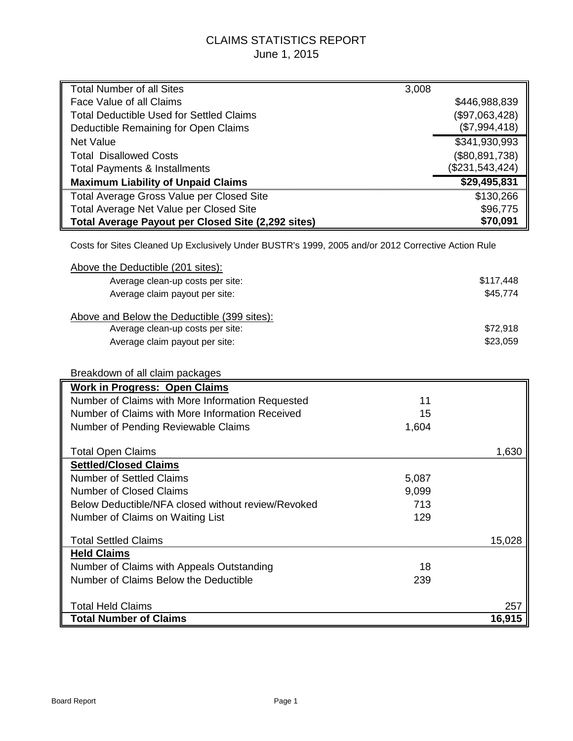# CLAIMS STATISTICS REPORT June 1, 2015

| <b>Total Number of all Sites</b>                                                                   | 3,008 |                 |
|----------------------------------------------------------------------------------------------------|-------|-----------------|
| Face Value of all Claims                                                                           |       | \$446,988,839   |
| <b>Total Deductible Used for Settled Claims</b>                                                    |       | (\$97,063,428)  |
| Deductible Remaining for Open Claims                                                               |       | (\$7,994,418)   |
| <b>Net Value</b>                                                                                   |       | \$341,930,993   |
| <b>Total Disallowed Costs</b>                                                                      |       | (\$80,891,738)  |
| <b>Total Payments &amp; Installments</b>                                                           |       | (\$231,543,424) |
| <b>Maximum Liability of Unpaid Claims</b>                                                          |       | \$29,495,831    |
| Total Average Gross Value per Closed Site                                                          |       | \$130,266       |
| Total Average Net Value per Closed Site                                                            |       | \$96,775        |
| Total Average Payout per Closed Site (2,292 sites)                                                 |       | \$70,091        |
|                                                                                                    |       |                 |
| Costs for Sites Cleaned Up Exclusively Under BUSTR's 1999, 2005 and/or 2012 Corrective Action Rule |       |                 |
| Above the Deductible (201 sites):                                                                  |       |                 |
| Average clean-up costs per site:                                                                   |       | \$117,448       |
| Average claim payout per site:                                                                     |       | \$45,774        |
|                                                                                                    |       |                 |
| Above and Below the Deductible (399 sites):                                                        |       |                 |
| Average clean-up costs per site:                                                                   |       | \$72,918        |
| Average claim payout per site:                                                                     |       | \$23,059        |
|                                                                                                    |       |                 |
| Breakdown of all claim packages                                                                    |       |                 |
| <b>Work in Progress: Open Claims</b>                                                               |       |                 |
| Number of Claims with More Information Requested                                                   | 11    |                 |
| Number of Claims with More Information Received                                                    | 15    |                 |
| Number of Pending Reviewable Claims                                                                | 1,604 |                 |
|                                                                                                    |       |                 |
| <b>Total Open Claims</b>                                                                           |       | 1,630           |
| <b>Settled/Closed Claims</b><br><b>Number of Settled Claims</b>                                    | 5,087 |                 |
| <b>Number of Closed Claims</b>                                                                     | 9,099 |                 |
|                                                                                                    |       |                 |
| Below Deductible/NFA closed without review/Revoked                                                 | 713   |                 |
| Number of Claims on Waiting List                                                                   | 129   |                 |
| <b>Total Settled Claims</b>                                                                        |       | 15,028          |
| <b>Held Claims</b>                                                                                 |       |                 |
| Number of Claims with Appeals Outstanding                                                          | 18    |                 |
| Number of Claims Below the Deductible                                                              | 239   |                 |
|                                                                                                    |       |                 |
| <b>Total Held Claims</b>                                                                           |       | 257             |
| <b>Total Number of Claims</b>                                                                      |       | 16,915          |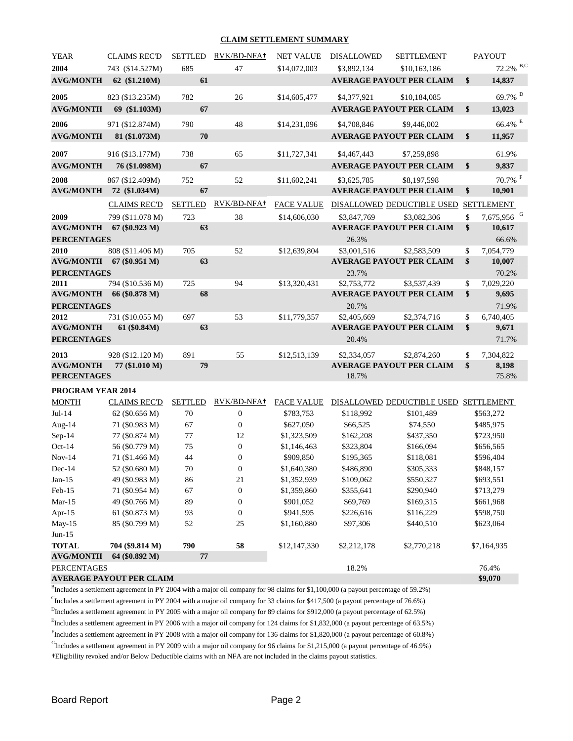#### **CLAIM SETTLEMENT SUMMARY**

| YEAR                     | <b>CLAIMS REC'D</b>              | <b>SETTLED</b> | RVK/BD-NFA+ | <b>NET VALUE</b>  | DISALLOWED  | SETTLEMENT                                     |                    | <b>PAYOUT</b>          |
|--------------------------|----------------------------------|----------------|-------------|-------------------|-------------|------------------------------------------------|--------------------|------------------------|
| 2004                     | 743 (\$14.527M)                  | 685            | 47          | \$14,072,003      | \$3,892,134 | \$10,163,186                                   |                    | 72.2% B,C              |
| <b>AVG/MONTH</b>         | 62 (\$1.210M)                    | 61             |             |                   |             | <b>AVERAGE PAYOUT PER CLAIM</b>                | $\mathbb{S}$       | 14,837                 |
| 2005                     | 823 (\$13.235M)                  | 782            | 26          | \$14,605,477      | \$4,377,921 | \$10,184,085                                   |                    | 69.7% <sup>D</sup>     |
| <b>AVG/MONTH</b>         | 69 (\$1.103M)                    | 67             |             |                   |             | <b>AVERAGE PAYOUT PER CLAIM</b>                | $\mathbf{s}$       | 13,023                 |
| 2006                     | 971 (\$12.874M)                  | 790            | 48          | \$14,231,096      | \$4,708,846 | \$9,446,002                                    |                    | 66.4% E                |
| <b>AVG/MONTH</b>         | 81 (\$1.073M)                    | 70             |             |                   |             | <b>AVERAGE PAYOUT PER CLAIM</b>                | $\mathbf{s}$       | 11,957                 |
| 2007<br><b>AVG/MONTH</b> | 916 (\$13.177M)<br>76 (\$1.098M) | 738<br>67      | 65          | \$11,727,341      | \$4,467,443 | \$7,259,898<br><b>AVERAGE PAYOUT PER CLAIM</b> | $\mathbf{\hat{s}}$ | 61.9%<br>9,837         |
|                          |                                  |                |             |                   |             |                                                |                    |                        |
| 2008                     | 867 (\$12.409M)                  | 752            | 52          | \$11,602,241      | \$3,625,785 | \$8,197,598                                    |                    | $70.7\%$ <sup>F</sup>  |
|                          | <b>AVG/MONTH 72 (\$1.034M)</b>   | 67             |             |                   |             | <b>AVERAGE PAYOUT PER CLAIM</b>                | \$                 | 10,901                 |
|                          | <b>CLAIMS REC'D</b>              | <b>SETTLED</b> | RVK/BD-NFA+ | <b>FACE VALUE</b> |             | DISALLOWED DEDUCTIBLE USED                     |                    | <b>SETTLEMENT</b>      |
| 2009                     | 799 (\$11.078 M)                 | 723            | 38          | \$14,606,030      | \$3,847,769 | \$3,082,306                                    | $\mathsf{\$}$      | 7,675,956 <sup>G</sup> |
|                          | <b>AVG/MONTH</b> 67 (\$0.923 M)  | 63             |             |                   |             | <b>AVERAGE PAYOUT PER CLAIM</b>                | $\mathbf{s}$       | 10,617                 |
| <b>PERCENTAGES</b>       |                                  |                |             |                   | 26.3%       |                                                |                    | 66.6%                  |
| 2010                     | 808 (\$11.406 M)                 | 705            | 52          | \$12,639,804      | \$3,001,516 | \$2,583,509                                    | \$                 | 7,054,779              |
|                          | <b>AVG/MONTH</b> 67 (\$0.951 M)  | 63             |             |                   |             | <b>AVERAGE PAYOUT PER CLAIM</b>                | $\mathbf{s}$       | 10,007                 |
| <b>PERCENTAGES</b>       |                                  |                |             |                   | 23.7%       |                                                |                    | 70.2%                  |
| 2011                     | 794 (\$10.536 M)                 | 725            | 94          | \$13,320,431      | \$2,753,772 | \$3,537,439                                    | \$.                | 7,029,220              |
|                          | AVG/MONTH 66 (\$0.878 M)         | 68             |             |                   |             | <b>AVERAGE PAYOUT PER CLAIM</b>                | $\mathbf{s}$       | 9,695                  |
| <b>PERCENTAGES</b>       |                                  |                |             |                   | 20.7%       |                                                |                    | 71.9%                  |
| 2012                     | 731 (\$10.055 M)                 | 697            | 53          | \$11,779,357      | \$2,405,669 | \$2,374,716                                    | \$.                | 6,740,405              |
| <b>AVG/MONTH</b>         | 61 (\$0.84M)                     | 63             |             |                   |             | <b>AVERAGE PAYOUT PER CLAIM</b>                | $\mathbf{s}$       | 9,671                  |
| <b>PERCENTAGES</b>       |                                  |                |             |                   | 20.4%       |                                                |                    | 71.7%                  |
| 2013                     | 928 (\$12.120 M)                 | 891            | 55          | \$12,513,139      | \$2,334,057 | \$2,874,260                                    | \$                 | 7,304,822              |
| <b>AVG/MONTH</b>         | 77 (\$1.010 M)                   | 79             |             |                   |             | <b>AVERAGE PAYOUT PER CLAIM</b>                | $\mathbf{s}$       | 8,198                  |
| <b>PERCENTAGES</b>       |                                  |                |             |                   | 18.7%       |                                                |                    | 75.8%                  |
| <b>PROGRAM YEAR 2014</b> |                                  |                |             |                   |             |                                                |                    |                        |

| <b>MONTH</b>       | <b>CLAIMS REC'D</b>             | <b>SETTLED</b> | RVK/BD-NFA+      | <b>FACE VALUE</b> |             | DISALLOWED DEDUCTIBLE USED | <b>SETTLEMENT</b> |
|--------------------|---------------------------------|----------------|------------------|-------------------|-------------|----------------------------|-------------------|
| $Jul-14$           | 62 (\$0.656 M)                  | 70             | $\boldsymbol{0}$ | \$783,753         | \$118,992   | \$101,489                  | \$563,272         |
| Aug-14             | 71 (\$0.983 M)                  | 67             | $\overline{0}$   | \$627,050         | \$66,525    | \$74,550                   | \$485,975         |
| $Sep-14$           | 77 (\$0.874 M)                  | 77             | 12               | \$1,323,509       | \$162,208   | \$437,350                  | \$723,950         |
| $Oct-14$           | 56 (\$0.779 M)                  | 75             | $\boldsymbol{0}$ | \$1,146,463       | \$323,804   | \$166,094                  | \$656,565         |
| $Nov-14$           | 71 (\$1.466 M)                  | 44             | $\boldsymbol{0}$ | \$909,850         | \$195,365   | \$118,081                  | \$596,404         |
| $Dec-14$           | 52 (\$0.680 M)                  | 70             | $\overline{0}$   | \$1,640,380       | \$486,890   | \$305,333                  | \$848,157         |
| $Jan-15$           | 49 (\$0.983 M)                  | 86             | 21               | \$1,352,939       | \$109,062   | \$550,327                  | \$693,551         |
| $Feb-15$           | 71 (\$0.954 M)                  | 67             | $\boldsymbol{0}$ | \$1,359,860       | \$355,641   | \$290,940                  | \$713,279         |
| $Mar-15$           | 49 (\$0.766 M)                  | 89             | $\boldsymbol{0}$ | \$901,052         | \$69,769    | \$169,315                  | \$661,968         |
| Apr- $15$          | 61 (\$0.873 M)                  | 93             | $\overline{0}$   | \$941,595         | \$226,616   | \$116,229                  | \$598,750         |
| $May-15$           | 85 (\$0.799 M)                  | 52             | 25               | \$1,160,880       | \$97,306    | \$440,510                  | \$623,064         |
| $Jun-15$           |                                 |                |                  |                   |             |                            |                   |
| <b>TOTAL</b>       | 704 (\$9.814 M)                 | 790            | 58               | \$12,147,330      | \$2,212,178 | \$2,770,218                | \$7,164,935       |
| <b>AVG/MONTH</b>   | 64 (\$0.892 M)                  | 77             |                  |                   |             |                            |                   |
| <b>PERCENTAGES</b> |                                 |                |                  |                   | 18.2%       |                            | 76.4%             |
|                    | <b>AVERAGE PAYOUT PER CLAIM</b> |                |                  |                   |             |                            | \$9,070           |

BIncludes a settlement agreement in PY 2004 with a major oil company for 98 claims for \$1,100,000 (a payout percentage of 59.2%)

CIncludes a settlement agreement in PY 2004 with a major oil company for 33 claims for \$417,500 (a payout percentage of 76.6%)

<sup>D</sup>Includes a settlement agreement in PY 2005 with a major oil company for 89 claims for \$912,000 (a payout percentage of 62.5%)

E Includes a settlement agreement in PY 2006 with a major oil company for 124 claims for \$1,832,000 (a payout percentage of 63.5%)

Fincludes a settlement agreement in PY 2008 with a major oil company for 136 claims for \$1,820,000 (a payout percentage of 60.8%)

GIncludes a settlement agreement in PY 2009 with a major oil company for 96 claims for \$1,215,000 (a payout percentage of 46.9%)

**†**Eligibility revoked and/or Below Deductible claims with an NFA are not included in the claims payout statistics.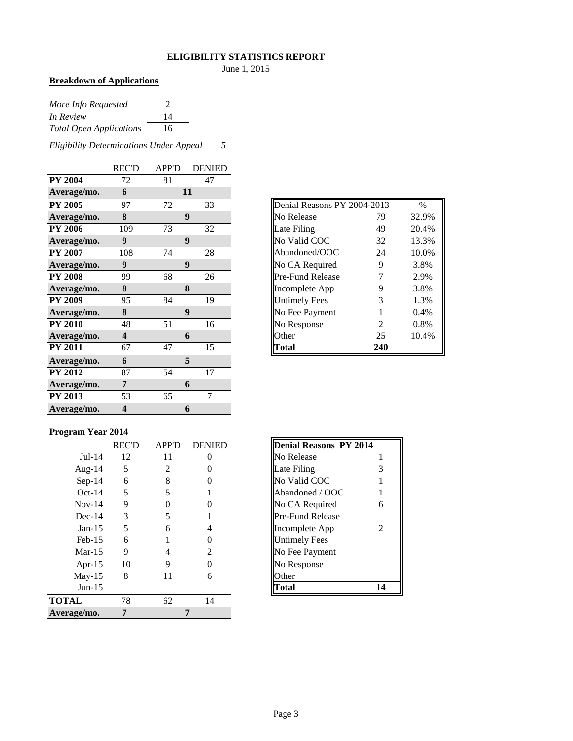## **ELIGIBILITY STATISTICS REPORT**

June 1, 2015

#### **Breakdown of Applications**

| More Info Requested            | $\mathcal{P}$ |
|--------------------------------|---------------|
| In Review                      | 14            |
| <b>Total Open Applications</b> | 16            |

*Eligibility Determinations Under Appeal 5*

|                | <b>REC'D</b>            | <b>APP'D</b> | <b>DENIED</b>   |
|----------------|-------------------------|--------------|-----------------|
| <b>PY 2004</b> | 72                      | 81           | 47              |
| Average/mo.    | 6                       |              | 11              |
| <b>PY 2005</b> | 97                      | 72           | 33              |
| Average/mo.    | 8                       |              | 9               |
| <b>PY 2006</b> | 109                     | 73           | 32              |
| Average/mo.    | 9                       |              | 9               |
| <b>PY 2007</b> | 108                     | 74           | 28              |
| Average/mo.    | $\boldsymbol{9}$        |              | 9               |
| <b>PY 2008</b> | 99                      | 68           | 26              |
| Average/mo.    | 8                       |              | 8               |
| <b>PY 2009</b> | 95                      | 84           | 19              |
| Average/mo.    | 8                       |              | 9               |
| <b>PY 2010</b> | 48                      | 51           | 16              |
| Average/mo.    | $\overline{\mathbf{4}}$ |              | 6               |
| <b>PY 2011</b> | 67                      | 47           | $\overline{15}$ |
| Average/mo.    | 6                       |              | 5               |
| <b>PY 2012</b> | 87                      | 54           | 17              |
| Average/mo.    | 7                       |              | 6               |
| <b>PY 2013</b> | 53                      | 65           | 7               |
| Average/mo.    | 4                       |              | 6               |

# **Denial Reasons PY 2004-2013** % **Average/mo. 8** No Release 79 32.9% **Properties** 20.4% **Average 13.3%** No Valid COC 32 13.3% Abandoned/OOC 24 10.0% **Average Mo. CA Required 9 3.8%** Pre-Fund Release 7 2.9% **A** Incomplete App 5.8% **Physical Properties** 3 1.3% **Average Rayment** 1 0.4% **Propose** 2 6.8%

## **Program Year 2014**

|              | <b>REC'D</b> | <b>APP'D</b> | <b>DENIED</b>         | Denial Reasons PY 2014  |    |
|--------------|--------------|--------------|-----------------------|-------------------------|----|
| $Jul-14$     | 12           | 11           | 0                     | No Release              |    |
| Aug- $14$    | 5            | 2            |                       | Late Filing             | 3  |
| $Sep-14$     | 6            | 8            |                       | No Valid COC            |    |
| $Oct-14$     | 5            | 5            |                       | Abandoned / OOC         |    |
| $Nov-14$     | 9            | 0            |                       | No CA Required          | 6  |
| $Dec-14$     | 3            | 5            |                       | <b>Pre-Fund Release</b> |    |
| $Jan-15$     | 5            | 6            |                       | Incomplete App          | 2  |
| $Feb-15$     | 6            |              |                       | <b>Untimely Fees</b>    |    |
| $Mar-15$     | 9            | 4            | $\mathcal{D}_{\cdot}$ | No Fee Payment          |    |
| Apr- $15$    | 10           | 9            |                       | No Response             |    |
| $May-15$     | 8            | 11           | 6                     | Other                   |    |
| $Jun-15$     |              |              |                       | Total                   | 14 |
| <b>TOTAL</b> | 78           | 62           | 14                    |                         |    |
| Average/mo.  | 7            |              | 7                     |                         |    |
|              |              |              |                       |                         |    |

| Denial Reasons PY 2014 |   |
|------------------------|---|
| No Release             | 1 |
| Late Filing            | 3 |
| No Valid COC           | 1 |
| Abandoned / OOC        | 1 |
| No CA Required         | 6 |
| Pre-Fund Release       |   |
| Incomplete App         | 2 |
| Untimely Fees          |   |
| No Fee Payment         |   |
| No Response            |   |
| <b>Other</b>           |   |
| otal                   |   |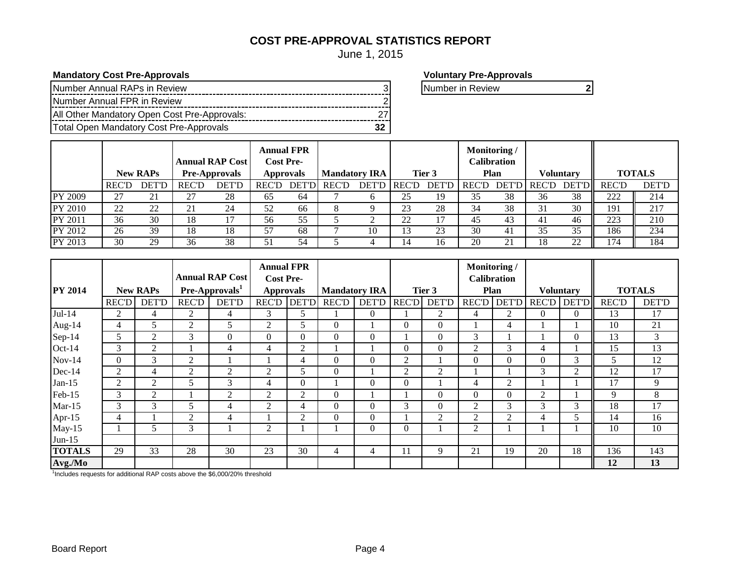# **COST PRE-APPROVAL STATISTICS REPORT**

June 1, 2015

**Mandatory Cost Pre-Approvals Voluntary Pre-Approvals** 

| Number Annual RAPs in Review                 |  |
|----------------------------------------------|--|
| Number Annual FPR in Review                  |  |
| All Other Mandatory Open Cost Pre-Approvals: |  |
| Total Open Mandatory Cost Pre-Approvals      |  |

Number in Review **2** 

|                |              | <b>New RAPs</b> |               | <b>Annual RAP Cost</b><br><b>Pre-Approvals</b> | <b>Annual FPR</b><br><b>Cost Pre-</b> | Approvals     | <b>Mandatory IRA</b> |              |       | Tier 3       | Monitoring/  | <b>Calibration</b><br>Plan |             | Voluntarv           |              | <b>TOTALS</b> |
|----------------|--------------|-----------------|---------------|------------------------------------------------|---------------------------------------|---------------|----------------------|--------------|-------|--------------|--------------|----------------------------|-------------|---------------------|--------------|---------------|
|                | <b>REC'D</b> | <b>DET'D</b>    | <b>REC'D</b>  | <b>DET'D</b>                                   | <b>REC'D</b>                          | <b>DET'DI</b> | <b>REC'D</b>         | <b>DET'D</b> | REC'D | <b>DET'D</b> | <b>REC'D</b> |                            | DET'D REC'D | <b>DET'DI</b>       | <b>REC'D</b> | <b>DET'D</b>  |
| PY 2009        | 27           | 21              | $\mathcal{L}$ | 28                                             | 65                                    | 64            |                      | O            | 25    | 19           | 35           | 38                         | 36          | 38                  | 222          | 214           |
| PY 2010        | 22           | 22              | 21            | 24                                             | 52                                    | 66            | 8                    |              | 23    | 28           | 34           | 38                         | 31          | 30                  | 191          | 217           |
| PY 2011        | 36           | 30              | 18            |                                                | 56                                    | 55            |                      |              | 22    |              | 45           | 43                         | 41          | 46                  | 223          | 210           |
| PY 2012        | 26           | 39              | 18            | 18                                             | 57                                    | 68            |                      | 10           |       | 23           | 30           | 41                         | 35          | 35                  | 186          | 234           |
| <b>PY 2013</b> | 30           | 29              | 36            | 38                                             | 51                                    | 54            |                      | 4            | 14    | 16           | 20           | ົາ 1<br>∠⊥                 | .8          | $\mathcal{D}$<br>44 | 174          | 184           |

|                |              |                 |              | <b>Annual RAP Cost</b>     | <b>Annual FPR</b><br><b>Cost Pre-</b> |                |              |                      |              |                  | Monitoring /   | <b>Calibration</b> |                |                  |              |               |
|----------------|--------------|-----------------|--------------|----------------------------|---------------------------------------|----------------|--------------|----------------------|--------------|------------------|----------------|--------------------|----------------|------------------|--------------|---------------|
| <b>PY 2014</b> |              | <b>New RAPs</b> |              | Pre-Approvals <sup>1</sup> | <b>Approvals</b>                      |                |              | <b>Mandatory IRA</b> |              | Tier 3           |                | <b>Plan</b>        |                | <b>Voluntary</b> |              | <b>TOTALS</b> |
|                | <b>REC'D</b> | <b>DET'D</b>    | <b>REC'D</b> | <b>DET'D</b>               | REC'D                                 | <b>DET'D</b>   | <b>REC'D</b> | <b>DET'D</b>         | <b>REC'D</b> | <b>DET'D</b>     | <b>REC'D</b>   | <b>DET'D</b>       | <b>REC'D</b>   | <b>DET'D</b>     | <b>REC'D</b> | <b>DET'D</b>  |
| $Jul-14$       | 2            | 4               | 2            | 4                          | 3                                     | 5              |              | $\overline{0}$       |              | 2                | 4              | 2                  | $\overline{0}$ | $\theta$         | 13           | 17            |
| Aug- $14$      | 4            | 5               | 2            | 5                          | 2                                     | 5              | $\Omega$     |                      | $\mathbf{0}$ | $\boldsymbol{0}$ |                | 4                  |                |                  | 10           | 21            |
| Sep-14         | 5            | 2               | 3            | $\theta$                   | $\Omega$                              | $\overline{0}$ | $\theta$     | $\overline{0}$       |              | $\theta$         | 3              |                    |                | $\theta$         | 13           | 3             |
| Oct-14         | 3            | 2               |              | 4                          | 4                                     | $\overline{2}$ |              |                      | $\mathbf{0}$ | $\Omega$         | $\overline{2}$ | 3                  | 4              |                  | 15           | 13            |
| $Nov-14$       | $\Omega$     | 3               | 2            |                            |                                       | 4              | $\Omega$     | $\theta$             | 2            |                  | $\theta$       | $\theta$           | $\theta$       | 3                | 5            | 12            |
| Dec-14         | 2            | 4               | 2            | 2                          | 2                                     | 5              | $\Omega$     |                      | 2            | 2                |                |                    | 3              | $\overline{2}$   | 12           | 17            |
| $Jan-15$       | 2            | 2               | 5            | 3                          | 4                                     | $\Omega$       |              | $\Omega$             | $\Omega$     |                  | 4              | $\overline{2}$     |                |                  | 17           | 9             |
| Feb-15         | 3            | 2               |              | 2                          | 2                                     | $\overline{c}$ | $\Omega$     |                      |              | $\Omega$         | $\theta$       | $\theta$           | $\overline{2}$ |                  | 9            | 8             |
| $Mar-15$       | 3            | 3               | 5            | 4                          | 2                                     | 4              | $\Omega$     | $\overline{0}$       | 3            | $\Omega$         | 2              | 3                  | 3              | 3                | 18           | 17            |
| Apr-15         | 4            |                 | 2            | 4                          |                                       | 2              | $\mathbf{0}$ | $\mathbf{0}$         |              | $\overline{2}$   | $\overline{2}$ | $\overline{2}$     | 4              | 5                | 14           | 16            |
| $May-15$       |              | 5               | 3            |                            | 2                                     |                |              | $\Omega$             | $\Omega$     |                  | 2              |                    |                |                  | 10           | 10            |
| $Jun-15$       |              |                 |              |                            |                                       |                |              |                      |              |                  |                |                    |                |                  |              |               |
| <b>TOTALS</b>  | 29           | 33              | 28           | 30                         | 23                                    | 30             | 4            | 4                    | 11           | 9                | 21             | 19                 | 20             | 18               | 136          | 143           |
| Avg./Mo        |              |                 |              |                            |                                       |                |              |                      |              |                  |                |                    |                |                  | 12           | 13            |

<sup>1</sup>Includes requests for additional RAP costs above the \$6,000/20% threshold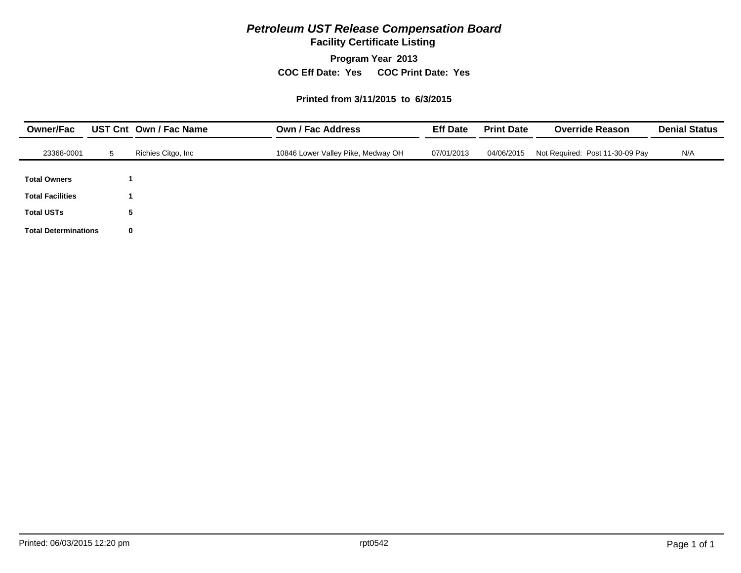# *Petroleum UST Release Compensation Board*

**Facility Certificate Listing**

**Program Year 2013**

**COC Eff Date: Yes COC Print Date: Yes** 

#### **Printed from 3/11/2015 to 6/3/2015**

| <b>Owner/Fac</b>            |    | UST Cnt Own / Fac Name | <b>Own / Fac Address</b>           |            | <b>Print Date</b> | <b>Override Reason</b>          | <b>Denial Status</b> |
|-----------------------------|----|------------------------|------------------------------------|------------|-------------------|---------------------------------|----------------------|
| 23368-0001                  | 5. | Richies Citgo, Inc     | 10846 Lower Valley Pike, Medway OH | 07/01/2013 | 04/06/2015        | Not Required: Post 11-30-09 Pay | N/A                  |
| <b>Total Owners</b>         |    |                        |                                    |            |                   |                                 |                      |
| <b>Total Facilities</b>     |    |                        |                                    |            |                   |                                 |                      |
| <b>Total USTs</b>           |    | 5                      |                                    |            |                   |                                 |                      |
| <b>Total Determinations</b> | 0  |                        |                                    |            |                   |                                 |                      |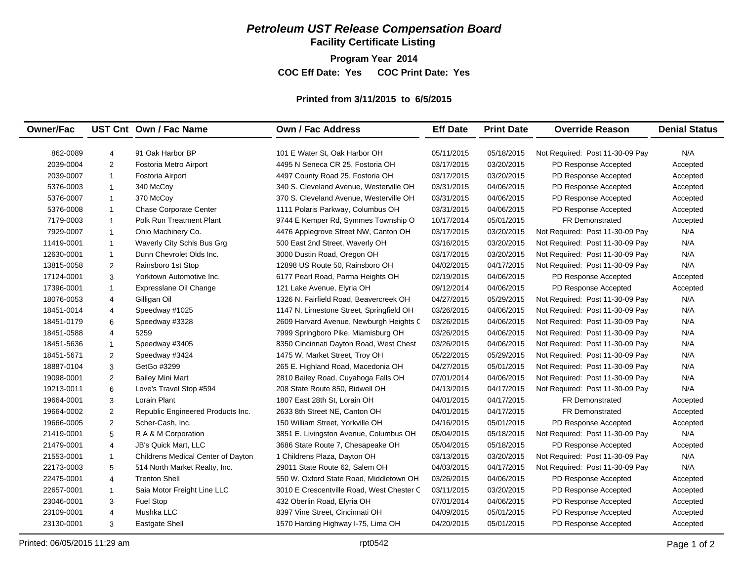# *Petroleum UST Release Compensation Board*

**Facility Certificate Listing**

**Program Year 2014**

**COC Eff Date: Yes COC Print Date: Yes** 

#### **Printed from 3/11/2015 to 6/5/2015**

| <b>Owner/Fac</b> |                | UST Cnt Own / Fac Name             | <b>Own / Fac Address</b>                  | <b>Eff Date</b> | <b>Print Date</b> | <b>Override Reason</b>          | <b>Denial Status</b> |
|------------------|----------------|------------------------------------|-------------------------------------------|-----------------|-------------------|---------------------------------|----------------------|
|                  |                |                                    |                                           |                 |                   |                                 |                      |
| 862-0089         | 4              | 91 Oak Harbor BP                   | 101 E Water St, Oak Harbor OH             | 05/11/2015      | 05/18/2015        | Not Required: Post 11-30-09 Pay | N/A                  |
| 2039-0004        | $\overline{2}$ | Fostoria Metro Airport             | 4495 N Seneca CR 25, Fostoria OH          | 03/17/2015      | 03/20/2015        | PD Response Accepted            | Accepted             |
| 2039-0007        | $\mathbf{1}$   | Fostoria Airport                   | 4497 County Road 25, Fostoria OH          | 03/17/2015      | 03/20/2015        | PD Response Accepted            | Accepted             |
| 5376-0003        | $\mathbf{1}$   | 340 McCoy                          | 340 S. Cleveland Avenue, Westerville OH   | 03/31/2015      | 04/06/2015        | PD Response Accepted            | Accepted             |
| 5376-0007        | $\mathbf{1}$   | 370 McCoy                          | 370 S. Cleveland Avenue, Westerville OH   | 03/31/2015      | 04/06/2015        | PD Response Accepted            | Accepted             |
| 5376-0008        | $\mathbf{1}$   | <b>Chase Corporate Center</b>      | 1111 Polaris Parkway, Columbus OH         | 03/31/2015      | 04/06/2015        | PD Response Accepted            | Accepted             |
| 7179-0003        | $\mathbf{1}$   | <b>Polk Run Treatment Plant</b>    | 9744 E Kemper Rd, Symmes Township O       | 10/17/2014      | 05/01/2015        | <b>FR Demonstrated</b>          | Accepted             |
| 7929-0007        | $\mathbf{1}$   | Ohio Machinery Co.                 | 4476 Applegrove Street NW, Canton OH      | 03/17/2015      | 03/20/2015        | Not Required: Post 11-30-09 Pay | N/A                  |
| 11419-0001       | $\mathbf{1}$   | Waverly City Schls Bus Grg         | 500 East 2nd Street, Waverly OH           | 03/16/2015      | 03/20/2015        | Not Required: Post 11-30-09 Pay | N/A                  |
| 12630-0001       | $\mathbf{1}$   | Dunn Chevrolet Olds Inc.           | 3000 Dustin Road, Oregon OH               | 03/17/2015      | 03/20/2015        | Not Required: Post 11-30-09 Pay | N/A                  |
| 13815-0058       | 2              | Rainsboro 1st Stop                 | 12898 US Route 50, Rainsboro OH           | 04/02/2015      | 04/17/2015        | Not Required: Post 11-30-09 Pay | N/A                  |
| 17124-0001       | 3              | Yorktown Automotive Inc.           | 6177 Pearl Road, Parma Heights OH         | 02/19/2015      | 04/06/2015        | PD Response Accepted            | Accepted             |
| 17396-0001       | $\overline{1}$ | Expresslane Oil Change             | 121 Lake Avenue, Elyria OH                | 09/12/2014      | 04/06/2015        | PD Response Accepted            | Accepted             |
| 18076-0053       | $\overline{4}$ | Gilligan Oil                       | 1326 N. Fairfield Road, Beavercreek OH    | 04/27/2015      | 05/29/2015        | Not Required: Post 11-30-09 Pay | N/A                  |
| 18451-0014       | $\overline{4}$ | Speedway #1025                     | 1147 N. Limestone Street, Springfield OH  | 03/26/2015      | 04/06/2015        | Not Required: Post 11-30-09 Pay | N/A                  |
| 18451-0179       | 6              | Speedway #3328                     | 2609 Harvard Avenue, Newburgh Heights C   | 03/26/2015      | 04/06/2015        | Not Required: Post 11-30-09 Pay | N/A                  |
| 18451-0588       | $\overline{4}$ | 5259                               | 7999 Springboro Pike, Miamisburg OH       | 03/26/2015      | 04/06/2015        | Not Required: Post 11-30-09 Pay | N/A                  |
| 18451-5636       | $\mathbf{1}$   | Speedway #3405                     | 8350 Cincinnati Dayton Road, West Chest   | 03/26/2015      | 04/06/2015        | Not Required: Post 11-30-09 Pay | N/A                  |
| 18451-5671       | $\overline{2}$ | Speedway #3424                     | 1475 W. Market Street, Troy OH            | 05/22/2015      | 05/29/2015        | Not Required: Post 11-30-09 Pay | N/A                  |
| 18887-0104       | 3              | GetGo #3299                        | 265 E. Highland Road, Macedonia OH        | 04/27/2015      | 05/01/2015        | Not Required: Post 11-30-09 Pay | N/A                  |
| 19098-0001       | 2              | <b>Bailey Mini Mart</b>            | 2810 Bailey Road, Cuyahoga Falls OH       | 07/01/2014      | 04/06/2015        | Not Required: Post 11-30-09 Pay | N/A                  |
| 19213-0011       | $\,6$          | Love's Travel Stop #594            | 208 State Route 850, Bidwell OH           | 04/13/2015      | 04/17/2015        | Not Required: Post 11-30-09 Pay | N/A                  |
| 19664-0001       | 3              | Lorain Plant                       | 1807 East 28th St, Lorain OH              | 04/01/2015      | 04/17/2015        | FR Demonstrated                 | Accepted             |
| 19664-0002       | 2              | Republic Engineered Products Inc.  | 2633 8th Street NE, Canton OH             | 04/01/2015      | 04/17/2015        | <b>FR Demonstrated</b>          | Accepted             |
| 19666-0005       | $\overline{2}$ | Scher-Cash, Inc.                   | 150 William Street, Yorkville OH          | 04/16/2015      | 05/01/2015        | PD Response Accepted            | Accepted             |
| 21419-0001       | 5              | R A & M Corporation                | 3851 E. Livingston Avenue, Columbus OH    | 05/04/2015      | 05/18/2015        | Not Required: Post 11-30-09 Pay | N/A                  |
| 21479-0001       | $\overline{4}$ | JB's Quick Mart, LLC               | 3686 State Route 7, Chesapeake OH         | 05/04/2015      | 05/18/2015        | PD Response Accepted            | Accepted             |
| 21553-0001       | $\mathbf{1}$   | Childrens Medical Center of Dayton | 1 Childrens Plaza, Dayton OH              | 03/13/2015      | 03/20/2015        | Not Required: Post 11-30-09 Pay | N/A                  |
| 22173-0003       | 5              | 514 North Market Realty, Inc.      | 29011 State Route 62, Salem OH            | 04/03/2015      | 04/17/2015        | Not Required: Post 11-30-09 Pay | N/A                  |
| 22475-0001       | $\overline{4}$ | <b>Trenton Shell</b>               | 550 W. Oxford State Road, Middletown OH   | 03/26/2015      | 04/06/2015        | PD Response Accepted            | Accepted             |
| 22657-0001       | $\mathbf{1}$   | Saia Motor Freight Line LLC        | 3010 E Crescentville Road, West Chester C | 03/11/2015      | 03/20/2015        | PD Response Accepted            | Accepted             |
| 23046-0001       | 3              | Fuel Stop                          | 432 Oberlin Road, Elyria OH               | 07/01/2014      | 04/06/2015        | PD Response Accepted            | Accepted             |
| 23109-0001       | $\overline{4}$ | Mushka LLC                         | 8397 Vine Street, Cincinnati OH           | 04/09/2015      | 05/01/2015        | PD Response Accepted            | Accepted             |
| 23130-0001       | 3              | <b>Eastgate Shell</b>              | 1570 Harding Highway I-75, Lima OH        | 04/20/2015      | 05/01/2015        | PD Response Accepted            | Accepted             |
|                  |                |                                    |                                           |                 |                   |                                 |                      |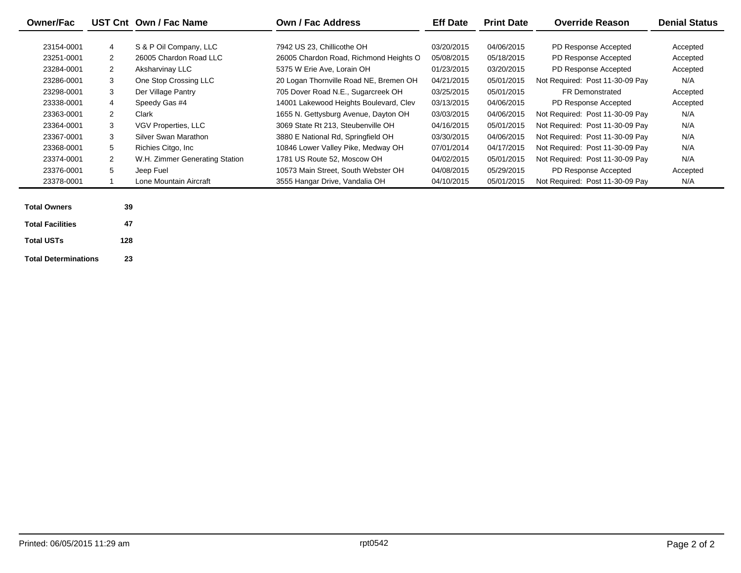| <b>Owner/Fac</b> |              | UST Cnt Own / Fac Name         | <b>Own / Fac Address</b>               | <b>Eff Date</b> | <b>Print Date</b> | <b>Override Reason</b>          | <b>Denial Status</b> |
|------------------|--------------|--------------------------------|----------------------------------------|-----------------|-------------------|---------------------------------|----------------------|
| 23154-0001       | 4            | S & P Oil Company, LLC         | 7942 US 23, Chillicothe OH             | 03/20/2015      | 04/06/2015        | PD Response Accepted            | Accepted             |
| 23251-0001       | $\mathbf{2}$ | 26005 Chardon Road LLC         | 26005 Chardon Road, Richmond Heights O | 05/08/2015      | 05/18/2015        | PD Response Accepted            | Accepted             |
| 23284-0001       | 2            | Aksharvinay LLC                | 5375 W Erie Ave. Lorain OH             | 01/23/2015      | 03/20/2015        | PD Response Accepted            | Accepted             |
| 23286-0001       | 3            | One Stop Crossing LLC          | 20 Logan Thornville Road NE, Bremen OH | 04/21/2015      | 05/01/2015        | Not Required: Post 11-30-09 Pay | N/A                  |
| 23298-0001       | 3            | Der Village Pantry             | 705 Dover Road N.E., Sugarcreek OH     | 03/25/2015      | 05/01/2015        | <b>FR Demonstrated</b>          | Accepted             |
| 23338-0001       | 4            | Speedy Gas #4                  | 14001 Lakewood Heights Boulevard, Clev | 03/13/2015      | 04/06/2015        | PD Response Accepted            | Accepted             |
| 23363-0001       | $\mathbf{2}$ | Clark                          | 1655 N. Gettysburg Avenue, Dayton OH   | 03/03/2015      | 04/06/2015        | Not Required: Post 11-30-09 Pay | N/A                  |
| 23364-0001       | 3            | VGV Properties, LLC            | 3069 State Rt 213. Steubenville OH     | 04/16/2015      | 05/01/2015        | Not Required: Post 11-30-09 Pay | N/A                  |
| 23367-0001       | 3            | Silver Swan Marathon           | 3880 E National Rd, Springfield OH     | 03/30/2015      | 04/06/2015        | Not Required: Post 11-30-09 Pay | N/A                  |
| 23368-0001       | 5            | Richies Citgo, Inc.            | 10846 Lower Valley Pike, Medway OH     | 07/01/2014      | 04/17/2015        | Not Required: Post 11-30-09 Pay | N/A                  |
| 23374-0001       | $\mathbf{2}$ | W.H. Zimmer Generating Station | 1781 US Route 52, Moscow OH            | 04/02/2015      | 05/01/2015        | Not Required: Post 11-30-09 Pay | N/A                  |
| 23376-0001       | 5            | Jeep Fuel                      | 10573 Main Street. South Webster OH    | 04/08/2015      | 05/29/2015        | PD Response Accepted            | Accepted             |
| 23378-0001       |              | Lone Mountain Aircraft         | 3555 Hangar Drive, Vandalia OH         | 04/10/2015      | 05/01/2015        | Not Required: Post 11-30-09 Pay | N/A                  |

| <b>Total Owners</b>         | 39  |
|-----------------------------|-----|
| <b>Total Facilities</b>     | 47  |
| <b>Total USTs</b>           | 128 |
| <b>Total Determinations</b> | 23  |